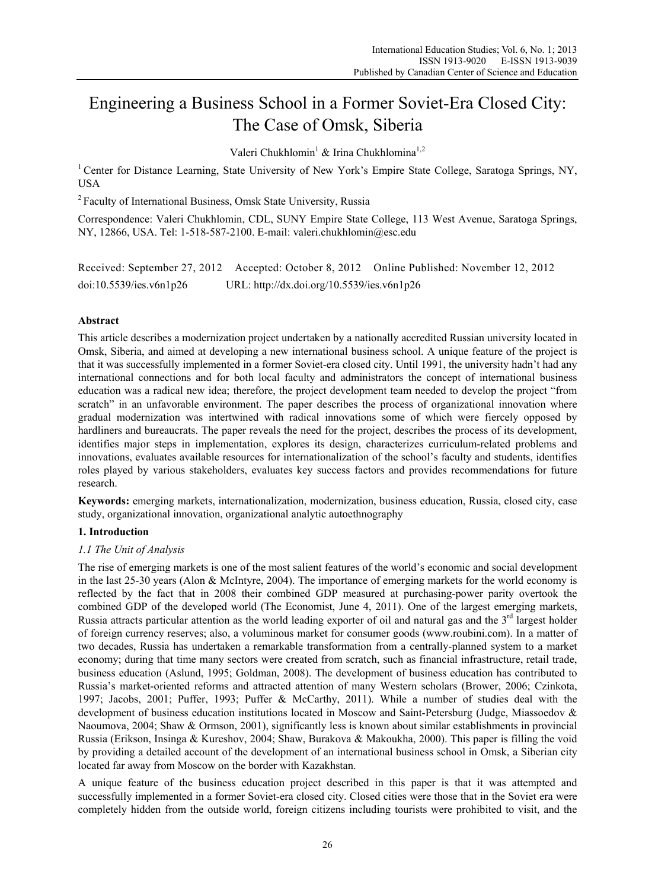# Engineering a Business School in a Former Soviet-Era Closed City: The Case of Omsk, Siberia

Valeri Chukhlomin<sup>1</sup> & Irina Chukhlomina<sup>1,2</sup>

<sup>1</sup> Center for Distance Learning, State University of New York's Empire State College, Saratoga Springs, NY, USA

2 Faculty of International Business, Omsk State University, Russia

Correspondence: Valeri Chukhlomin, CDL, SUNY Empire State College, 113 West Avenue, Saratoga Springs, NY, 12866, USA. Tel: 1-518-587-2100. E-mail: valeri.chukhlomin@esc.edu

Received: September 27, 2012 Accepted: October 8, 2012 Online Published: November 12, 2012 doi:10.5539/ies.v6n1p26 URL: http://dx.doi.org/10.5539/ies.v6n1p26

# **Abstract**

This article describes a modernization project undertaken by a nationally accredited Russian university located in Omsk, Siberia, and aimed at developing a new international business school. A unique feature of the project is that it was successfully implemented in a former Soviet-era closed city. Until 1991, the university hadn't had any international connections and for both local faculty and administrators the concept of international business education was a radical new idea; therefore, the project development team needed to develop the project "from scratch" in an unfavorable environment. The paper describes the process of organizational innovation where gradual modernization was intertwined with radical innovations some of which were fiercely opposed by hardliners and bureaucrats. The paper reveals the need for the project, describes the process of its development, identifies major steps in implementation, explores its design, characterizes curriculum-related problems and innovations, evaluates available resources for internationalization of the school's faculty and students, identifies roles played by various stakeholders, evaluates key success factors and provides recommendations for future research.

**Keywords:** emerging markets, internationalization, modernization, business education, Russia, closed city, case study, organizational innovation, organizational analytic autoethnography

# **1. Introduction**

# *1.1 The Unit of Analysis*

The rise of emerging markets is one of the most salient features of the world's economic and social development in the last 25-30 years (Alon & McIntyre, 2004). The importance of emerging markets for the world economy is reflected by the fact that in 2008 their combined GDP measured at purchasing-power parity overtook the combined GDP of the developed world (The Economist, June 4, 2011). One of the largest emerging markets, Russia attracts particular attention as the world leading exporter of oil and natural gas and the  $3<sup>rd</sup>$  largest holder of foreign currency reserves; also, a voluminous market for consumer goods (www.roubini.com). In a matter of two decades, Russia has undertaken a remarkable transformation from a centrally-planned system to a market economy; during that time many sectors were created from scratch, such as financial infrastructure, retail trade, business education (Aslund, 1995; Goldman, 2008). The development of business education has contributed to Russia's market-oriented reforms and attracted attention of many Western scholars (Brower, 2006; Czinkota, 1997; Jacobs, 2001; Puffer, 1993; Puffer & McCarthy, 2011). While a number of studies deal with the development of business education institutions located in Moscow and Saint-Petersburg (Judge, Miassoedov & Naoumova, 2004; Shaw & Ormson, 2001), significantly less is known about similar establishments in provincial Russia (Erikson, Insinga & Kureshov, 2004; Shaw, Burakova & Makoukha, 2000). This paper is filling the void by providing a detailed account of the development of an international business school in Omsk, a Siberian city located far away from Moscow on the border with Kazakhstan.

A unique feature of the business education project described in this paper is that it was attempted and successfully implemented in a former Soviet-era closed city. Closed cities were those that in the Soviet era were completely hidden from the outside world, foreign citizens including tourists were prohibited to visit, and the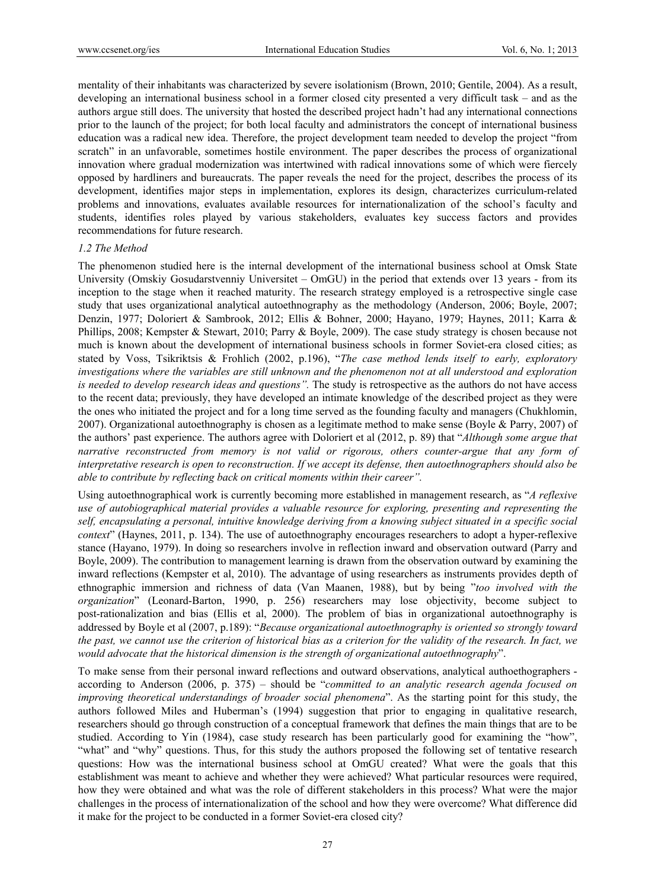mentality of their inhabitants was characterized by severe isolationism (Brown, 2010; Gentile, 2004). As a result, developing an international business school in a former closed city presented a very difficult task – and as the authors argue still does. The university that hosted the described project hadn't had any international connections prior to the launch of the project; for both local faculty and administrators the concept of international business education was a radical new idea. Therefore, the project development team needed to develop the project "from scratch" in an unfavorable, sometimes hostile environment. The paper describes the process of organizational innovation where gradual modernization was intertwined with radical innovations some of which were fiercely opposed by hardliners and bureaucrats. The paper reveals the need for the project, describes the process of its development, identifies major steps in implementation, explores its design, characterizes curriculum-related problems and innovations, evaluates available resources for internationalization of the school's faculty and students, identifies roles played by various stakeholders, evaluates key success factors and provides recommendations for future research.

#### *1.2 The Method*

The phenomenon studied here is the internal development of the international business school at Omsk State University (Omskiy Gosudarstvenniy Universitet – OmGU) in the period that extends over 13 years - from its inception to the stage when it reached maturity. The research strategy employed is a retrospective single case study that uses organizational analytical autoethnography as the methodology (Anderson, 2006; Boyle, 2007; Denzin, 1977; Doloriert & Sambrook, 2012; Ellis & Bohner, 2000; Hayano, 1979; Haynes, 2011; Karra & Phillips, 2008; Kempster & Stewart, 2010; Parry & Boyle, 2009). The case study strategy is chosen because not much is known about the development of international business schools in former Soviet-era closed cities; as stated by Voss, Tsikriktsis & Frohlich (2002, p.196), "*The case method lends itself to early, exploratory investigations where the variables are still unknown and the phenomenon not at all understood and exploration is needed to develop research ideas and questions".* The study is retrospective as the authors do not have access to the recent data; previously, they have developed an intimate knowledge of the described project as they were the ones who initiated the project and for a long time served as the founding faculty and managers (Chukhlomin, 2007). Organizational autoethnography is chosen as a legitimate method to make sense (Boyle & Parry, 2007) of the authors' past experience. The authors agree with Doloriert et al (2012, p. 89) that "*Although some argue that narrative reconstructed from memory is not valid or rigorous, others counter-argue that any form of interpretative research is open to reconstruction. If we accept its defense, then autoethnographers should also be able to contribute by reflecting back on critical moments within their career".* 

Using autoethnographical work is currently becoming more established in management research, as "*A reflexive use of autobiographical material provides a valuable resource for exploring, presenting and representing the self, encapsulating a personal, intuitive knowledge deriving from a knowing subject situated in a specific social context*" (Haynes, 2011, p. 134). The use of autoethnography encourages researchers to adopt a hyper-reflexive stance (Hayano, 1979). In doing so researchers involve in reflection inward and observation outward (Parry and Boyle, 2009). The contribution to management learning is drawn from the observation outward by examining the inward reflections (Kempster et al, 2010). The advantage of using researchers as instruments provides depth of ethnographic immersion and richness of data (Van Maanen, 1988), but by being "*too involved with the organization*" (Leonard-Barton, 1990, p. 256) researchers may lose objectivity, become subject to post-rationalization and bias (Ellis et al, 2000). The problem of bias in organizational autoethnography is addressed by Boyle et al (2007, p.189): "*Because organizational autoethnography is oriented so strongly toward the past, we cannot use the criterion of historical bias as a criterion for the validity of the research. In fact, we would advocate that the historical dimension is the strength of organizational autoethnography*".

To make sense from their personal inward reflections and outward observations, analytical authoethographers according to Anderson (2006, p. 375) – should be "*committed to an analytic research agenda focused on improving theoretical understandings of broader social phenomena*". As the starting point for this study, the authors followed Miles and Huberman's (1994) suggestion that prior to engaging in qualitative research, researchers should go through construction of a conceptual framework that defines the main things that are to be studied. According to Yin (1984), case study research has been particularly good for examining the "how", "what" and "why" questions. Thus, for this study the authors proposed the following set of tentative research questions: How was the international business school at OmGU created? What were the goals that this establishment was meant to achieve and whether they were achieved? What particular resources were required, how they were obtained and what was the role of different stakeholders in this process? What were the major challenges in the process of internationalization of the school and how they were overcome? What difference did it make for the project to be conducted in a former Soviet-era closed city?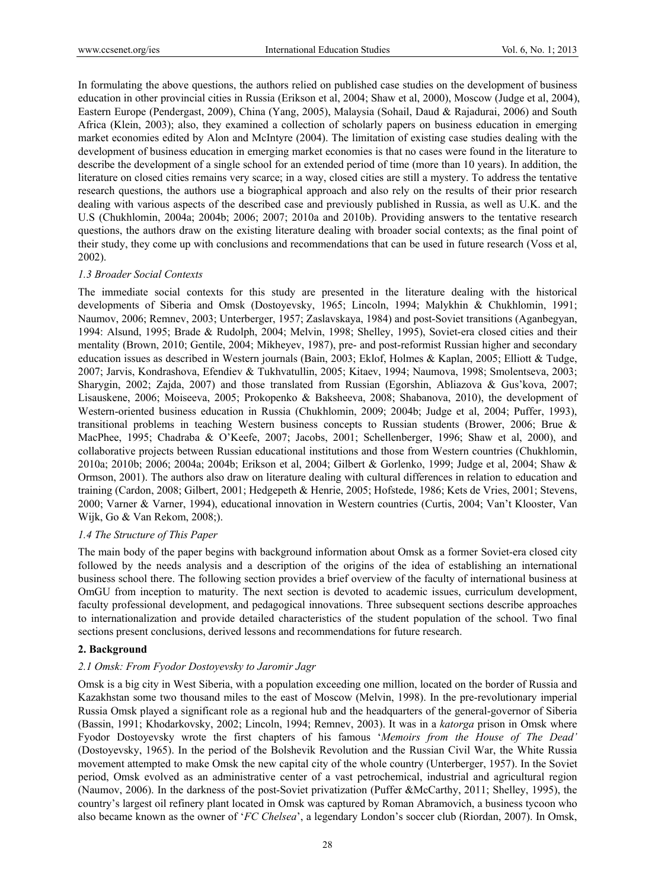In formulating the above questions, the authors relied on published case studies on the development of business education in other provincial cities in Russia (Erikson et al, 2004; Shaw et al, 2000), Moscow (Judge et al, 2004), Eastern Europe (Pendergast, 2009), China (Yang, 2005), Malaysia (Sohail, Daud & Rajadurai, 2006) and South Africa (Klein, 2003); also, they examined a collection of scholarly papers on business education in emerging market economies edited by Alon and McIntyre (2004). The limitation of existing case studies dealing with the development of business education in emerging market economies is that no cases were found in the literature to describe the development of a single school for an extended period of time (more than 10 years). In addition, the literature on closed cities remains very scarce; in a way, closed cities are still a mystery. To address the tentative research questions, the authors use a biographical approach and also rely on the results of their prior research dealing with various aspects of the described case and previously published in Russia, as well as U.K. and the U.S (Chukhlomin, 2004a; 2004b; 2006; 2007; 2010a and 2010b). Providing answers to the tentative research questions, the authors draw on the existing literature dealing with broader social contexts; as the final point of their study, they come up with conclusions and recommendations that can be used in future research (Voss et al, 2002).

# *1.3 Broader Social Contexts*

The immediate social contexts for this study are presented in the literature dealing with the historical developments of Siberia and Omsk (Dostoyevsky, 1965; Lincoln, 1994; Malykhin & Chukhlomin, 1991; Naumov, 2006; Remnev, 2003; Unterberger, 1957; Zaslavskaya, 1984) and post-Soviet transitions (Aganbegyan, 1994: Alsund, 1995; Brade & Rudolph, 2004; Melvin, 1998; Shelley, 1995), Soviet-era closed cities and their mentality (Brown, 2010; Gentile, 2004; Mikheyev, 1987), pre- and post-reformist Russian higher and secondary education issues as described in Western journals (Bain, 2003; Eklof, Holmes & Kaplan, 2005; Elliott & Tudge, 2007; Jarvis, Kondrashova, Efendiev & Tukhvatullin, 2005; Kitaev, 1994; Naumova, 1998; Smolentseva, 2003; Sharygin, 2002; Zajda, 2007) and those translated from Russian (Egorshin, Abliazova & Gus'kova, 2007; Lisauskene, 2006; Moiseeva, 2005; Prokopenko & Baksheeva, 2008; Shabanova, 2010), the development of Western-oriented business education in Russia (Chukhlomin, 2009; 2004b; Judge et al, 2004; Puffer, 1993), transitional problems in teaching Western business concepts to Russian students (Brower, 2006; Brue & MacPhee, 1995; Chadraba & O'Keefe, 2007; Jacobs, 2001; Schellenberger, 1996; Shaw et al, 2000), and collaborative projects between Russian educational institutions and those from Western countries (Chukhlomin, 2010a; 2010b; 2006; 2004a; 2004b; Erikson et al, 2004; Gilbert & Gorlenko, 1999; Judge et al, 2004; Shaw & Ormson, 2001). The authors also draw on literature dealing with cultural differences in relation to education and training (Cardon, 2008; Gilbert, 2001; Hedgepeth & Henrie, 2005; Hofstede, 1986; Kets de Vries, 2001; Stevens, 2000; Varner & Varner, 1994), educational innovation in Western countries (Curtis, 2004; Van't Klooster, Van Wijk, Go & Van Rekom, 2008;).

# *1.4 The Structure of This Paper*

The main body of the paper begins with background information about Omsk as a former Soviet-era closed city followed by the needs analysis and a description of the origins of the idea of establishing an international business school there. The following section provides a brief overview of the faculty of international business at OmGU from inception to maturity. The next section is devoted to academic issues, curriculum development, faculty professional development, and pedagogical innovations. Three subsequent sections describe approaches to internationalization and provide detailed characteristics of the student population of the school. Two final sections present conclusions, derived lessons and recommendations for future research.

# **2. Background**

# *2.1 Omsk: From Fyodor Dostoyevsky to Jaromir Jagr*

Omsk is a big city in West Siberia, with a population exceeding one million, located on the border of Russia and Kazakhstan some two thousand miles to the east of Moscow (Melvin, 1998). In the pre-revolutionary imperial Russia Omsk played a significant role as a regional hub and the headquarters of the general-governor of Siberia (Bassin, 1991; Khodarkovsky, 2002; Lincoln, 1994; Remnev, 2003). It was in a *katorga* prison in Omsk where Fyodor Dostoyevsky wrote the first chapters of his famous '*Memoirs from the House of The Dead'* (Dostoyevsky, 1965). In the period of the Bolshevik Revolution and the Russian Civil War, the White Russia movement attempted to make Omsk the new capital city of the whole country (Unterberger, 1957). In the Soviet period, Omsk evolved as an administrative center of a vast petrochemical, industrial and agricultural region (Naumov, 2006). In the darkness of the post-Soviet privatization (Puffer &McCarthy, 2011; Shelley, 1995), the country's largest oil refinery plant located in Omsk was captured by Roman Abramovich, a business tycoon who also became known as the owner of '*FC Chelsea*', a legendary London's soccer club (Riordan, 2007). In Omsk,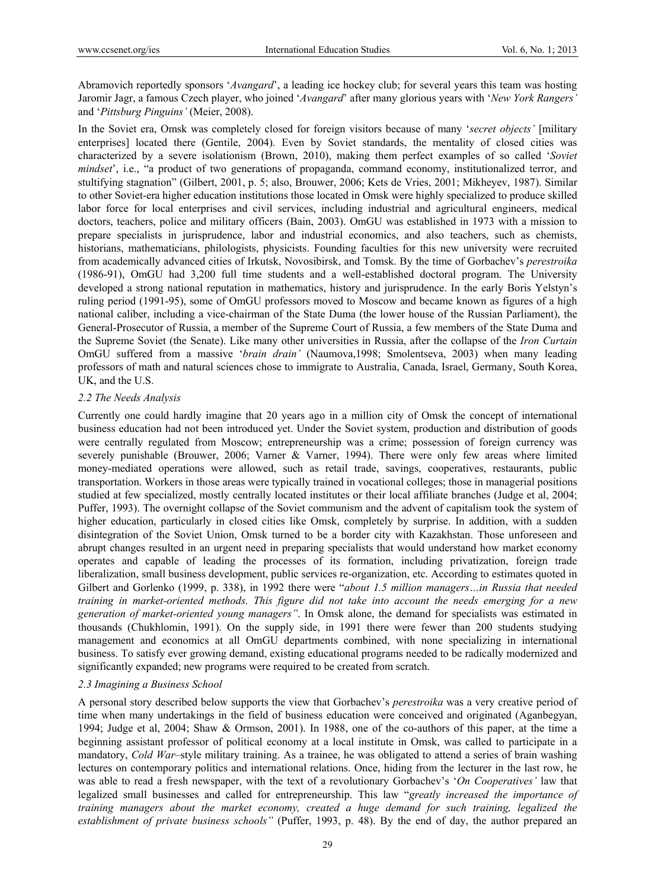Abramovich reportedly sponsors '*Avangard*', a leading ice hockey club; for several years this team was hosting Jaromir Jagr, a famous Czech player, who joined '*Avangard*' after many glorious years with '*New York Rangers'*  and '*Pittsburg Pinguins'* (Meier, 2008).

In the Soviet era, Omsk was completely closed for foreign visitors because of many '*secret objects'* [military enterprises] located there (Gentile, 2004). Even by Soviet standards, the mentality of closed cities was characterized by a severe isolationism (Brown, 2010), making them perfect examples of so called '*Soviet mindset*', i.e., "a product of two generations of propaganda, command economy, institutionalized terror, and stultifying stagnation" (Gilbert, 2001, p. 5; also, Brouwer, 2006; Kets de Vries, 2001; Mikheyev, 1987). Similar to other Soviet-era higher education institutions those located in Omsk were highly specialized to produce skilled labor force for local enterprises and civil services, including industrial and agricultural engineers, medical doctors, teachers, police and military officers (Bain, 2003). OmGU was established in 1973 with a mission to prepare specialists in jurisprudence, labor and industrial economics, and also teachers, such as chemists, historians, mathematicians, philologists, physicists. Founding faculties for this new university were recruited from academically advanced cities of Irkutsk, Novosibirsk, and Tomsk. By the time of Gorbachev's *perestroika* (1986-91), OmGU had 3,200 full time students and a well-established doctoral program. The University developed a strong national reputation in mathematics, history and jurisprudence. In the early Boris Yelstyn's ruling period (1991-95), some of OmGU professors moved to Moscow and became known as figures of a high national caliber, including a vice-chairman of the State Duma (the lower house of the Russian Parliament), the General-Prosecutor of Russia, a member of the Supreme Court of Russia, a few members of the State Duma and the Supreme Soviet (the Senate). Like many other universities in Russia, after the collapse of the *Iron Curtain*  OmGU suffered from a massive '*brain drain'* (Naumova,1998; Smolentseva, 2003) when many leading professors of math and natural sciences chose to immigrate to Australia, Canada, Israel, Germany, South Korea, UK, and the U.S.

# *2.2 The Needs Analysis*

Currently one could hardly imagine that 20 years ago in a million city of Omsk the concept of international business education had not been introduced yet. Under the Soviet system, production and distribution of goods were centrally regulated from Moscow; entrepreneurship was a crime; possession of foreign currency was severely punishable (Brouwer, 2006; Varner & Varner, 1994). There were only few areas where limited money-mediated operations were allowed, such as retail trade, savings, cooperatives, restaurants, public transportation. Workers in those areas were typically trained in vocational colleges; those in managerial positions studied at few specialized, mostly centrally located institutes or their local affiliate branches (Judge et al, 2004; Puffer, 1993). The overnight collapse of the Soviet communism and the advent of capitalism took the system of higher education, particularly in closed cities like Omsk, completely by surprise. In addition, with a sudden disintegration of the Soviet Union, Omsk turned to be a border city with Kazakhstan. Those unforeseen and abrupt changes resulted in an urgent need in preparing specialists that would understand how market economy operates and capable of leading the processes of its formation, including privatization, foreign trade liberalization, small business development, public services re-organization, etc. According to estimates quoted in Gilbert and Gorlenko (1999, p. 338), in 1992 there were "*about 1.5 million managers…in Russia that needed training in market-oriented methods. This figure did not take into account the needs emerging for a new generation of market-oriented young managers"*. In Omsk alone, the demand for specialists was estimated in thousands (Chukhlomin, 1991). On the supply side, in 1991 there were fewer than 200 students studying management and economics at all OmGU departments combined, with none specializing in international business. To satisfy ever growing demand, existing educational programs needed to be radically modernized and significantly expanded; new programs were required to be created from scratch.

# *2.3 Imagining a Business School*

A personal story described below supports the view that Gorbachev's *perestroika* was a very creative period of time when many undertakings in the field of business education were conceived and originated (Aganbegyan, 1994; Judge et al, 2004; Shaw & Ormson, 2001). In 1988, one of the co-authors of this paper, at the time a beginning assistant professor of political economy at a local institute in Omsk, was called to participate in a mandatory, *Cold War*–style military training. As a trainee, he was obligated to attend a series of brain washing lectures on contemporary politics and international relations. Once, hiding from the lecturer in the last row, he was able to read a fresh newspaper, with the text of a revolutionary Gorbachev's '*On Cooperatives'* law that legalized small businesses and called for entrepreneurship. This law "*greatly increased the importance of training managers about the market economy, created a huge demand for such training, legalized the establishment of private business schools"* (Puffer, 1993, p. 48). By the end of day, the author prepared an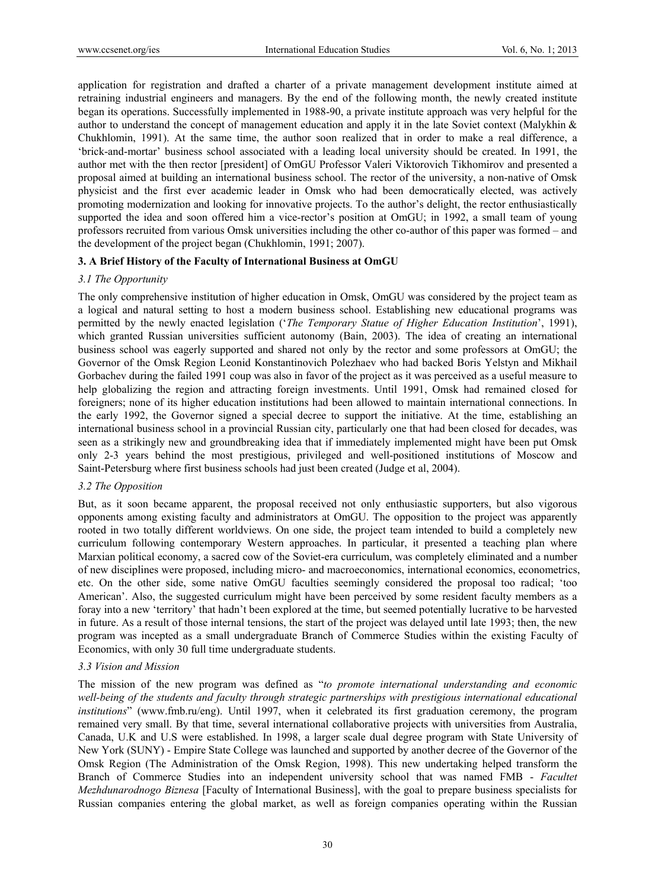application for registration and drafted a charter of a private management development institute aimed at retraining industrial engineers and managers. By the end of the following month, the newly created institute began its operations. Successfully implemented in 1988-90, a private institute approach was very helpful for the author to understand the concept of management education and apply it in the late Soviet context (Malykhin & Chukhlomin, 1991). At the same time, the author soon realized that in order to make a real difference, a 'brick-and-mortar' business school associated with a leading local university should be created. In 1991, the author met with the then rector [president] of OmGU Professor Valeri Viktorovich Tikhomirov and presented a proposal aimed at building an international business school. The rector of the university, a non-native of Omsk physicist and the first ever academic leader in Omsk who had been democratically elected, was actively promoting modernization and looking for innovative projects. To the author's delight, the rector enthusiastically supported the idea and soon offered him a vice-rector's position at OmGU; in 1992, a small team of young professors recruited from various Omsk universities including the other co-author of this paper was formed – and the development of the project began (Chukhlomin, 1991; 2007).

# **3. A Brief History of the Faculty of International Business at OmGU**

# *3.1 The Opportunity*

The only comprehensive institution of higher education in Omsk, OmGU was considered by the project team as a logical and natural setting to host a modern business school. Establishing new educational programs was permitted by the newly enacted legislation ('*The Temporary Statue of Higher Education Institution*', 1991), which granted Russian universities sufficient autonomy (Bain, 2003). The idea of creating an international business school was eagerly supported and shared not only by the rector and some professors at OmGU; the Governor of the Omsk Region Leonid Konstantinovich Polezhaev who had backed Boris Yelstyn and Mikhail Gorbachev during the failed 1991 coup was also in favor of the project as it was perceived as a useful measure to help globalizing the region and attracting foreign investments. Until 1991, Omsk had remained closed for foreigners; none of its higher education institutions had been allowed to maintain international connections. In the early 1992, the Governor signed a special decree to support the initiative. At the time, establishing an international business school in a provincial Russian city, particularly one that had been closed for decades, was seen as a strikingly new and groundbreaking idea that if immediately implemented might have been put Omsk only 2-3 years behind the most prestigious, privileged and well-positioned institutions of Moscow and Saint-Petersburg where first business schools had just been created (Judge et al, 2004).

# *3.2 The Opposition*

But, as it soon became apparent, the proposal received not only enthusiastic supporters, but also vigorous opponents among existing faculty and administrators at OmGU. The opposition to the project was apparently rooted in two totally different worldviews. On one side, the project team intended to build a completely new curriculum following contemporary Western approaches. In particular, it presented a teaching plan where Marxian political economy, a sacred cow of the Soviet-era curriculum, was completely eliminated and a number of new disciplines were proposed, including micro- and macroeconomics, international economics, econometrics, etc. On the other side, some native OmGU faculties seemingly considered the proposal too radical; 'too American'. Also, the suggested curriculum might have been perceived by some resident faculty members as a foray into a new 'territory' that hadn't been explored at the time, but seemed potentially lucrative to be harvested in future. As a result of those internal tensions, the start of the project was delayed until late 1993; then, the new program was incepted as a small undergraduate Branch of Commerce Studies within the existing Faculty of Economics, with only 30 full time undergraduate students.

# *3.3 Vision and Mission*

The mission of the new program was defined as "*to promote international understanding and economic well-being of the students and faculty through strategic partnerships with prestigious international educational institutions*" (www.fmb.ru/eng). Until 1997, when it celebrated its first graduation ceremony, the program remained very small. By that time, several international collaborative projects with universities from Australia, Canada, U.K and U.S were established. In 1998, a larger scale dual degree program with State University of New York (SUNY) - Empire State College was launched and supported by another decree of the Governor of the Omsk Region (The Administration of the Omsk Region, 1998). This new undertaking helped transform the Branch of Commerce Studies into an independent university school that was named FMB - *Facultet Mezhdunarodnogo Biznesa* [Faculty of International Business], with the goal to prepare business specialists for Russian companies entering the global market, as well as foreign companies operating within the Russian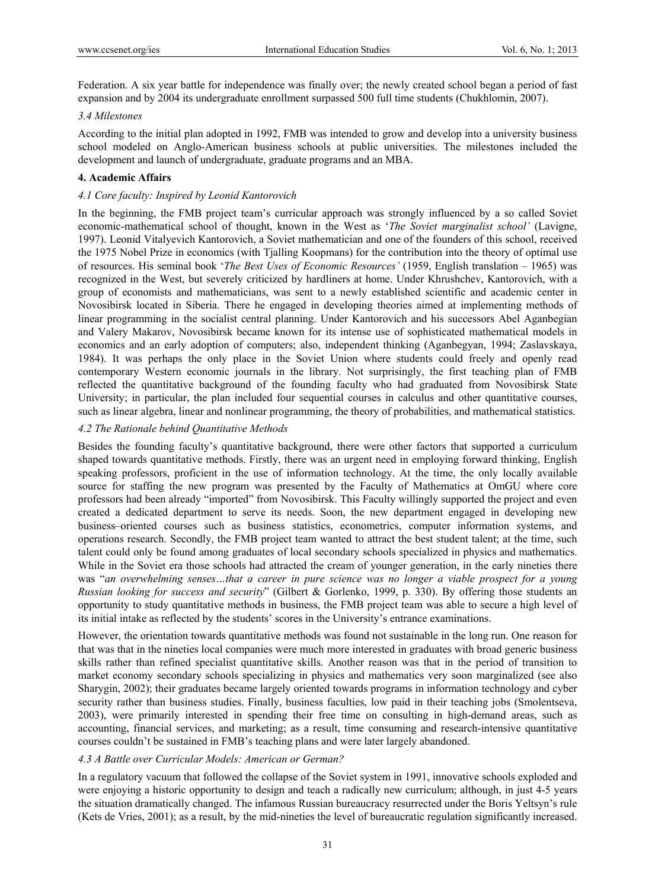Federation. A six year battle for independence was finally over; the newly created school began a period of fast expansion and by 2004 its undergraduate enrollment surpassed 500 full time students (Chukhlomin, 2007).

# *3.4 Milestones*

According to the initial plan adopted in 1992, FMB was intended to grow and develop into a university business school modeled on Anglo-American business schools at public universities. The milestones included the development and launch of undergraduate, graduate programs and an MBA.

# **4. Academic Affairs**

# *4.1 Core faculty: Inspired by Leonid Kantorovich*

In the beginning, the FMB project team's curricular approach was strongly influenced by a so called Soviet economic-mathematical school of thought, known in the West as '*The Soviet marginalist school'* (Lavigne, 1997). Leonid Vitalyevich Kantorovich, a Soviet mathematician and one of the founders of this school, received the 1975 Nobel Prize in economics (with Tjalling Koopmans) for the contribution into the theory of optimal use of resources. His seminal book '*The Best Uses of Economic Resources'* (1959, English translation – 1965) was recognized in the West, but severely criticized by hardliners at home. Under Khrushchev, Kantorovich, with a group of economists and mathematicians, was sent to a newly established scientific and academic center in Novosibirsk located in Siberia. There he engaged in developing theories aimed at implementing methods of linear programming in the socialist central planning. Under Kantorovich and his successors Abel Aganbegian and Valery Makarov, Novosibirsk became known for its intense use of sophisticated mathematical models in economics and an early adoption of computers; also, independent thinking (Aganbegyan, 1994; Zaslavskaya, 1984). It was perhaps the only place in the Soviet Union where students could freely and openly read contemporary Western economic journals in the library. Not surprisingly, the first teaching plan of FMB reflected the quantitative background of the founding faculty who had graduated from Novosibirsk State University; in particular, the plan included four sequential courses in calculus and other quantitative courses, such as linear algebra, linear and nonlinear programming, the theory of probabilities, and mathematical statistics.

# *4.2 The Rationale behind Quantitative Methods*

Besides the founding faculty's quantitative background, there were other factors that supported a curriculum shaped towards quantitative methods. Firstly, there was an urgent need in employing forward thinking, English speaking professors, proficient in the use of information technology. At the time, the only locally available source for staffing the new program was presented by the Faculty of Mathematics at OmGU where core professors had been already "imported" from Novosibirsk. This Faculty willingly supported the project and even created a dedicated department to serve its needs. Soon, the new department engaged in developing new business–oriented courses such as business statistics, econometrics, computer information systems, and operations research. Secondly, the FMB project team wanted to attract the best student talent; at the time, such talent could only be found among graduates of local secondary schools specialized in physics and mathematics. While in the Soviet era those schools had attracted the cream of younger generation, in the early nineties there was "*an overwhelming senses…that a career in pure science was no longer a viable prospect for a young Russian looking for success and security*" (Gilbert & Gorlenko, 1999, p. 330). By offering those students an opportunity to study quantitative methods in business, the FMB project team was able to secure a high level of its initial intake as reflected by the students' scores in the University's entrance examinations.

However, the orientation towards quantitative methods was found not sustainable in the long run. One reason for that was that in the nineties local companies were much more interested in graduates with broad generic business skills rather than refined specialist quantitative skills. Another reason was that in the period of transition to market economy secondary schools specializing in physics and mathematics very soon marginalized (see also Sharygin, 2002); their graduates became largely oriented towards programs in information technology and cyber security rather than business studies. Finally, business faculties, low paid in their teaching jobs (Smolentseva, 2003), were primarily interested in spending their free time on consulting in high-demand areas, such as accounting, financial services, and marketing; as a result, time consuming and research-intensive quantitative courses couldn't be sustained in FMB's teaching plans and were later largely abandoned.

# *4.3 A Battle over Curricular Models: American or German?*

In a regulatory vacuum that followed the collapse of the Soviet system in 1991, innovative schools exploded and were enjoying a historic opportunity to design and teach a radically new curriculum; although, in just 4-5 years the situation dramatically changed. The infamous Russian bureaucracy resurrected under the Boris Yeltsyn's rule (Kets de Vries, 2001); as a result, by the mid-nineties the level of bureaucratic regulation significantly increased.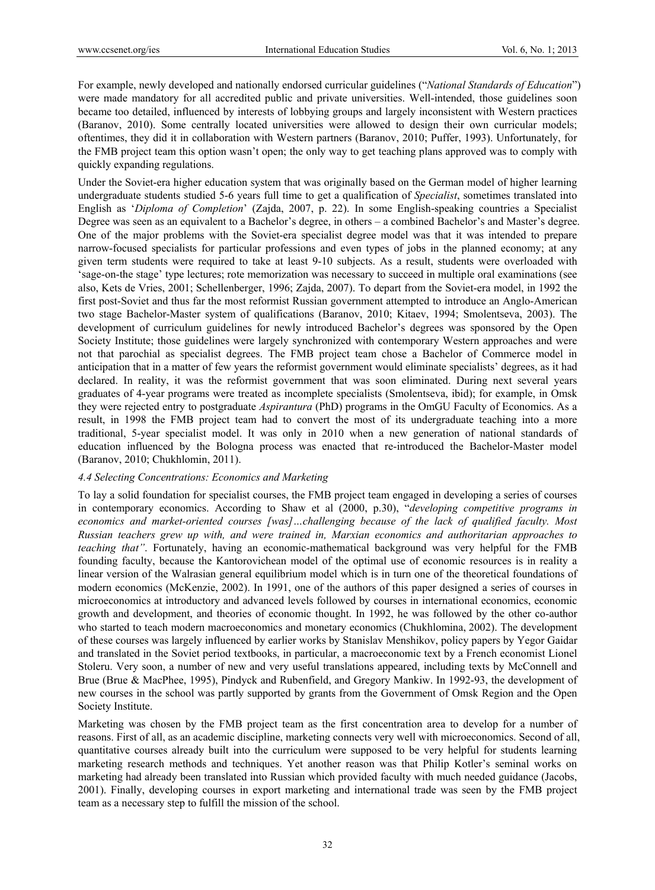For example, newly developed and nationally endorsed curricular guidelines ("*National Standards of Education*") were made mandatory for all accredited public and private universities. Well-intended, those guidelines soon became too detailed, influenced by interests of lobbying groups and largely inconsistent with Western practices (Baranov, 2010). Some centrally located universities were allowed to design their own curricular models; oftentimes, they did it in collaboration with Western partners (Baranov, 2010; Puffer, 1993). Unfortunately, for the FMB project team this option wasn't open; the only way to get teaching plans approved was to comply with quickly expanding regulations.

Under the Soviet-era higher education system that was originally based on the German model of higher learning undergraduate students studied 5-6 years full time to get a qualification of *Specialist*, sometimes translated into English as '*Diploma of Completion*' (Zajda, 2007, p. 22). In some English-speaking countries a Specialist Degree was seen as an equivalent to a Bachelor's degree, in others – a combined Bachelor's and Master's degree. One of the major problems with the Soviet-era specialist degree model was that it was intended to prepare narrow-focused specialists for particular professions and even types of jobs in the planned economy; at any given term students were required to take at least 9-10 subjects. As a result, students were overloaded with 'sage-on-the stage' type lectures; rote memorization was necessary to succeed in multiple oral examinations (see also, Kets de Vries, 2001; Schellenberger, 1996; Zajda, 2007). To depart from the Soviet-era model, in 1992 the first post-Soviet and thus far the most reformist Russian government attempted to introduce an Anglo-American two stage Bachelor-Master system of qualifications (Baranov, 2010; Kitaev, 1994; Smolentseva, 2003). The development of curriculum guidelines for newly introduced Bachelor's degrees was sponsored by the Open Society Institute; those guidelines were largely synchronized with contemporary Western approaches and were not that parochial as specialist degrees. The FMB project team chose a Bachelor of Commerce model in anticipation that in a matter of few years the reformist government would eliminate specialists' degrees, as it had declared. In reality, it was the reformist government that was soon eliminated. During next several years graduates of 4-year programs were treated as incomplete specialists (Smolentseva, ibid); for example, in Omsk they were rejected entry to postgraduate *Aspirantura* (PhD) programs in the OmGU Faculty of Economics. As a result, in 1998 the FMB project team had to convert the most of its undergraduate teaching into a more traditional, 5-year specialist model. It was only in 2010 when a new generation of national standards of education influenced by the Bologna process was enacted that re-introduced the Bachelor-Master model (Baranov, 2010; Chukhlomin, 2011).

# *4.4 Selecting Concentrations: Economics and Marketing*

To lay a solid foundation for specialist courses, the FMB project team engaged in developing a series of courses in contemporary economics. According to Shaw et al (2000, p.30), "*developing competitive programs in economics and market-oriented courses [was]…challenging because of the lack of qualified faculty. Most Russian teachers grew up with, and were trained in, Marxian economics and authoritarian approaches to teaching that"*. Fortunately, having an economic-mathematical background was very helpful for the FMB founding faculty, because the Kantorovichean model of the optimal use of economic resources is in reality a linear version of the Walrasian general equilibrium model which is in turn one of the theoretical foundations of modern economics (McKenzie, 2002). In 1991, one of the authors of this paper designed a series of courses in microeconomics at introductory and advanced levels followed by courses in international economics, economic growth and development, and theories of economic thought. In 1992, he was followed by the other co-author who started to teach modern macroeconomics and monetary economics (Chukhlomina, 2002). The development of these courses was largely influenced by earlier works by Stanislav Menshikov, policy papers by Yegor Gaidar and translated in the Soviet period textbooks, in particular, a macroeconomic text by a French economist Lionel Stoleru. Very soon, a number of new and very useful translations appeared, including texts by McConnell and Brue (Brue & MacPhee, 1995), Pindyck and Rubenfield, and Gregory Mankiw. In 1992-93, the development of new courses in the school was partly supported by grants from the Government of Omsk Region and the Open Society Institute.

Marketing was chosen by the FMB project team as the first concentration area to develop for a number of reasons. First of all, as an academic discipline, marketing connects very well with microeconomics. Second of all, quantitative courses already built into the curriculum were supposed to be very helpful for students learning marketing research methods and techniques. Yet another reason was that Philip Kotler's seminal works on marketing had already been translated into Russian which provided faculty with much needed guidance (Jacobs, 2001). Finally, developing courses in export marketing and international trade was seen by the FMB project team as a necessary step to fulfill the mission of the school.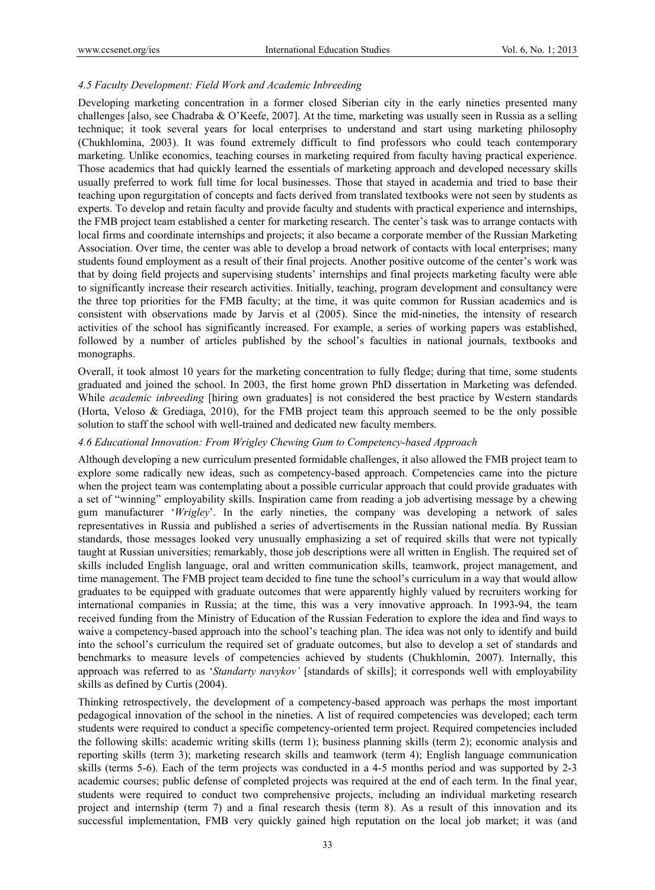# *4.5 Faculty Development: Field Work and Academic Inbreeding*

Developing marketing concentration in a former closed Siberian city in the early nineties presented many challenges [also, see Chadraba & O'Keefe, 2007]. At the time, marketing was usually seen in Russia as a selling technique; it took several years for local enterprises to understand and start using marketing philosophy (Chukhlomina, 2003). It was found extremely difficult to find professors who could teach contemporary marketing. Unlike economics, teaching courses in marketing required from faculty having practical experience. Those academics that had quickly learned the essentials of marketing approach and developed necessary skills usually preferred to work full time for local businesses. Those that stayed in academia and tried to base their teaching upon regurgitation of concepts and facts derived from translated textbooks were not seen by students as experts. To develop and retain faculty and provide faculty and students with practical experience and internships, the FMB project team established a center for marketing research. The center's task was to arrange contacts with local firms and coordinate internships and projects; it also became a corporate member of the Russian Marketing Association. Over time, the center was able to develop a broad network of contacts with local enterprises; many students found employment as a result of their final projects. Another positive outcome of the center's work was that by doing field projects and supervising students' internships and final projects marketing faculty were able to significantly increase their research activities. Initially, teaching, program development and consultancy were the three top priorities for the FMB faculty; at the time, it was quite common for Russian academics and is consistent with observations made by Jarvis et al (2005). Since the mid-nineties, the intensity of research activities of the school has significantly increased. For example, a series of working papers was established, followed by a number of articles published by the school's faculties in national journals, textbooks and monographs.

Overall, it took almost 10 years for the marketing concentration to fully fledge; during that time, some students graduated and joined the school. In 2003, the first home grown PhD dissertation in Marketing was defended. While *academic inbreeding* [hiring own graduates] is not considered the best practice by Western standards (Horta, Veloso & Grediaga, 2010), for the FMB project team this approach seemed to be the only possible solution to staff the school with well-trained and dedicated new faculty members.

#### *4.6 Educational Innovation: From Wrigley Chewing Gum to Competency-based Approach*

Although developing a new curriculum presented formidable challenges, it also allowed the FMB project team to explore some radically new ideas, such as competency-based approach. Competencies came into the picture when the project team was contemplating about a possible curricular approach that could provide graduates with a set of "winning" employability skills. Inspiration came from reading a job advertising message by a chewing gum manufacturer '*Wrigley*'. In the early nineties, the company was developing a network of sales representatives in Russia and published a series of advertisements in the Russian national media. By Russian standards, those messages looked very unusually emphasizing a set of required skills that were not typically taught at Russian universities; remarkably, those job descriptions were all written in English. The required set of skills included English language, oral and written communication skills, teamwork, project management, and time management. The FMB project team decided to fine tune the school's curriculum in a way that would allow graduates to be equipped with graduate outcomes that were apparently highly valued by recruiters working for international companies in Russia; at the time, this was a very innovative approach. In 1993-94, the team received funding from the Ministry of Education of the Russian Federation to explore the idea and find ways to waive a competency-based approach into the school's teaching plan. The idea was not only to identify and build into the school's curriculum the required set of graduate outcomes, but also to develop a set of standards and benchmarks to measure levels of competencies achieved by students (Chukhlomin, 2007). Internally, this approach was referred to as '*Standarty navykov'* [standards of skills]; it corresponds well with employability skills as defined by Curtis (2004).

Thinking retrospectively, the development of a competency-based approach was perhaps the most important pedagogical innovation of the school in the nineties. A list of required competencies was developed; each term students were required to conduct a specific competency-oriented term project. Required competencies included the following skills: academic writing skills (term 1); business planning skills (term 2); economic analysis and reporting skills (term 3); marketing research skills and teamwork (term 4); English language communication skills (terms 5-6). Each of the term projects was conducted in a 4-5 months period and was supported by 2-3 academic courses; public defense of completed projects was required at the end of each term. In the final year, students were required to conduct two comprehensive projects, including an individual marketing research project and internship (term 7) and a final research thesis (term 8). As a result of this innovation and its successful implementation, FMB very quickly gained high reputation on the local job market; it was (and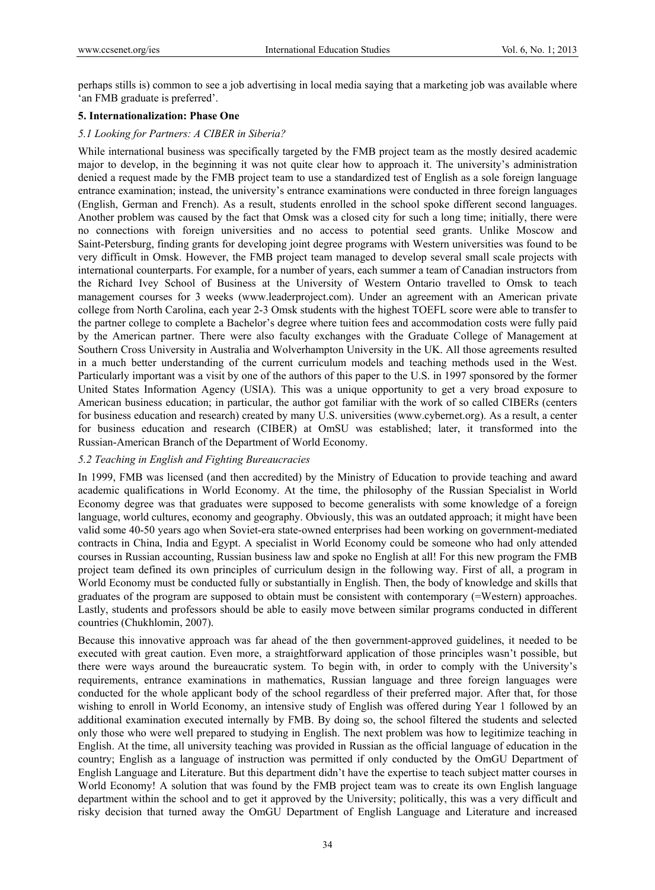perhaps stills is) common to see a job advertising in local media saying that a marketing job was available where 'an FMB graduate is preferred'.

# **5. Internationalization: Phase One**

# *5.1 Looking for Partners: A CIBER in Siberia?*

While international business was specifically targeted by the FMB project team as the mostly desired academic major to develop, in the beginning it was not quite clear how to approach it. The university's administration denied a request made by the FMB project team to use a standardized test of English as a sole foreign language entrance examination; instead, the university's entrance examinations were conducted in three foreign languages (English, German and French). As a result, students enrolled in the school spoke different second languages. Another problem was caused by the fact that Omsk was a closed city for such a long time; initially, there were no connections with foreign universities and no access to potential seed grants. Unlike Moscow and Saint-Petersburg, finding grants for developing joint degree programs with Western universities was found to be very difficult in Omsk. However, the FMB project team managed to develop several small scale projects with international counterparts. For example, for a number of years, each summer a team of Canadian instructors from the Richard Ivey School of Business at the University of Western Ontario travelled to Omsk to teach management courses for 3 weeks (www.leaderproject.com). Under an agreement with an American private college from North Carolina, each year 2-3 Omsk students with the highest TOEFL score were able to transfer to the partner college to complete a Bachelor's degree where tuition fees and accommodation costs were fully paid by the American partner. There were also faculty exchanges with the Graduate College of Management at Southern Cross University in Australia and Wolverhampton University in the UK. All those agreements resulted in a much better understanding of the current curriculum models and teaching methods used in the West. Particularly important was a visit by one of the authors of this paper to the U.S. in 1997 sponsored by the former United States Information Agency (USIA). This was a unique opportunity to get a very broad exposure to American business education; in particular, the author got familiar with the work of so called CIBERs (centers for business education and research) created by many U.S. universities (www.cybernet.org). As a result, a center for business education and research (CIBER) at OmSU was established; later, it transformed into the Russian-American Branch of the Department of World Economy.

# *5.2 Teaching in English and Fighting Bureaucracies*

In 1999, FMB was licensed (and then accredited) by the Ministry of Education to provide teaching and award academic qualifications in World Economy. At the time, the philosophy of the Russian Specialist in World Economy degree was that graduates were supposed to become generalists with some knowledge of a foreign language, world cultures, economy and geography. Obviously, this was an outdated approach; it might have been valid some 40-50 years ago when Soviet-era state-owned enterprises had been working on government-mediated contracts in China, India and Egypt. A specialist in World Economy could be someone who had only attended courses in Russian accounting, Russian business law and spoke no English at all! For this new program the FMB project team defined its own principles of curriculum design in the following way. First of all, a program in World Economy must be conducted fully or substantially in English. Then, the body of knowledge and skills that graduates of the program are supposed to obtain must be consistent with contemporary (=Western) approaches. Lastly, students and professors should be able to easily move between similar programs conducted in different countries (Chukhlomin, 2007).

Because this innovative approach was far ahead of the then government-approved guidelines, it needed to be executed with great caution. Even more, a straightforward application of those principles wasn't possible, but there were ways around the bureaucratic system. To begin with, in order to comply with the University's requirements, entrance examinations in mathematics, Russian language and three foreign languages were conducted for the whole applicant body of the school regardless of their preferred major. After that, for those wishing to enroll in World Economy, an intensive study of English was offered during Year 1 followed by an additional examination executed internally by FMB. By doing so, the school filtered the students and selected only those who were well prepared to studying in English. The next problem was how to legitimize teaching in English. At the time, all university teaching was provided in Russian as the official language of education in the country; English as a language of instruction was permitted if only conducted by the OmGU Department of English Language and Literature. But this department didn't have the expertise to teach subject matter courses in World Economy! A solution that was found by the FMB project team was to create its own English language department within the school and to get it approved by the University; politically, this was a very difficult and risky decision that turned away the OmGU Department of English Language and Literature and increased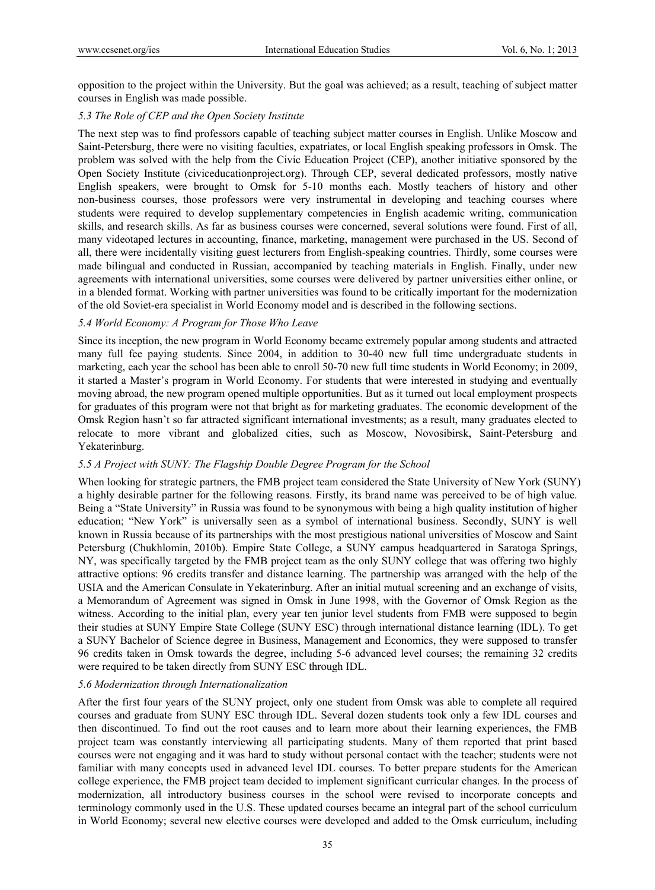opposition to the project within the University. But the goal was achieved; as a result, teaching of subject matter courses in English was made possible.

# *5.3 The Role of CEP and the Open Society Institute*

The next step was to find professors capable of teaching subject matter courses in English. Unlike Moscow and Saint-Petersburg, there were no visiting faculties, expatriates, or local English speaking professors in Omsk. The problem was solved with the help from the Civic Education Project (CEP), another initiative sponsored by the Open Society Institute (civiceducationproject.org). Through CEP, several dedicated professors, mostly native English speakers, were brought to Omsk for 5-10 months each. Mostly teachers of history and other non-business courses, those professors were very instrumental in developing and teaching courses where students were required to develop supplementary competencies in English academic writing, communication skills, and research skills. As far as business courses were concerned, several solutions were found. First of all, many videotaped lectures in accounting, finance, marketing, management were purchased in the US. Second of all, there were incidentally visiting guest lecturers from English-speaking countries. Thirdly, some courses were made bilingual and conducted in Russian, accompanied by teaching materials in English. Finally, under new agreements with international universities, some courses were delivered by partner universities either online, or in a blended format. Working with partner universities was found to be critically important for the modernization of the old Soviet-era specialist in World Economy model and is described in the following sections.

# *5.4 World Economy: A Program for Those Who Leave*

Since its inception, the new program in World Economy became extremely popular among students and attracted many full fee paying students. Since 2004, in addition to 30-40 new full time undergraduate students in marketing, each year the school has been able to enroll 50-70 new full time students in World Economy; in 2009, it started a Master's program in World Economy. For students that were interested in studying and eventually moving abroad, the new program opened multiple opportunities. But as it turned out local employment prospects for graduates of this program were not that bright as for marketing graduates. The economic development of the Omsk Region hasn't so far attracted significant international investments; as a result, many graduates elected to relocate to more vibrant and globalized cities, such as Moscow, Novosibirsk, Saint-Petersburg and Yekaterinburg.

# *5.5 A Project with SUNY: The Flagship Double Degree Program for the School*

When looking for strategic partners, the FMB project team considered the State University of New York (SUNY) a highly desirable partner for the following reasons. Firstly, its brand name was perceived to be of high value. Being a "State University" in Russia was found to be synonymous with being a high quality institution of higher education; "New York" is universally seen as a symbol of international business. Secondly, SUNY is well known in Russia because of its partnerships with the most prestigious national universities of Moscow and Saint Petersburg (Chukhlomin, 2010b). Empire State College, a SUNY campus headquartered in Saratoga Springs, NY, was specifically targeted by the FMB project team as the only SUNY college that was offering two highly attractive options: 96 credits transfer and distance learning. The partnership was arranged with the help of the USIA and the American Consulate in Yekaterinburg. After an initial mutual screening and an exchange of visits, a Memorandum of Agreement was signed in Omsk in June 1998, with the Governor of Omsk Region as the witness. According to the initial plan, every year ten junior level students from FMB were supposed to begin their studies at SUNY Empire State College (SUNY ESC) through international distance learning (IDL). To get a SUNY Bachelor of Science degree in Business, Management and Economics, they were supposed to transfer 96 credits taken in Omsk towards the degree, including 5-6 advanced level courses; the remaining 32 credits were required to be taken directly from SUNY ESC through IDL.

# *5.6 Modernization through Internationalization*

After the first four years of the SUNY project, only one student from Omsk was able to complete all required courses and graduate from SUNY ESC through IDL. Several dozen students took only a few IDL courses and then discontinued. To find out the root causes and to learn more about their learning experiences, the FMB project team was constantly interviewing all participating students. Many of them reported that print based courses were not engaging and it was hard to study without personal contact with the teacher; students were not familiar with many concepts used in advanced level IDL courses. To better prepare students for the American college experience, the FMB project team decided to implement significant curricular changes. In the process of modernization, all introductory business courses in the school were revised to incorporate concepts and terminology commonly used in the U.S. These updated courses became an integral part of the school curriculum in World Economy; several new elective courses were developed and added to the Omsk curriculum, including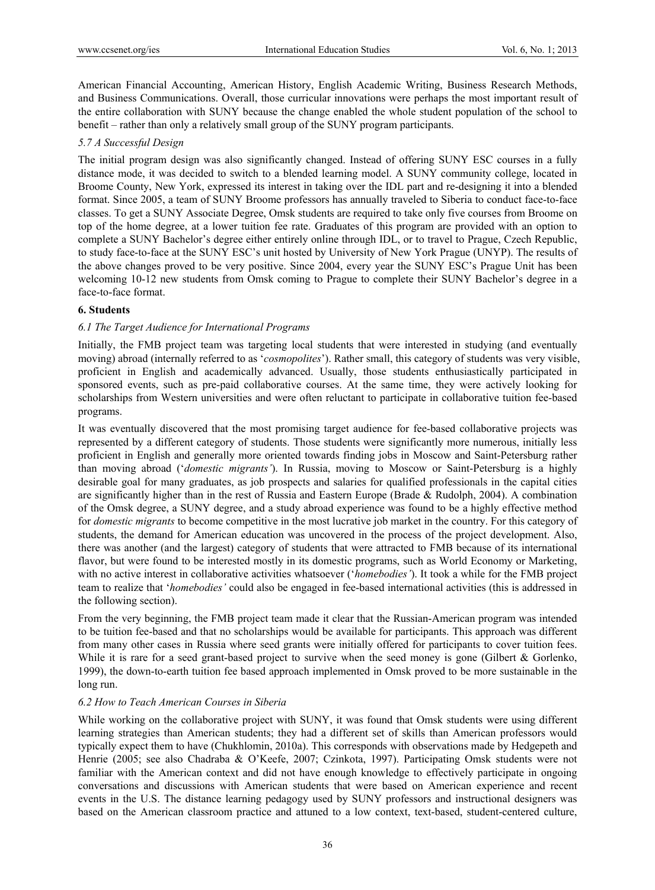American Financial Accounting, American History, English Academic Writing, Business Research Methods, and Business Communications. Overall, those curricular innovations were perhaps the most important result of the entire collaboration with SUNY because the change enabled the whole student population of the school to benefit – rather than only a relatively small group of the SUNY program participants.

# *5.7 A Successful Design*

The initial program design was also significantly changed. Instead of offering SUNY ESC courses in a fully distance mode, it was decided to switch to a blended learning model. A SUNY community college, located in Broome County, New York, expressed its interest in taking over the IDL part and re-designing it into a blended format. Since 2005, a team of SUNY Broome professors has annually traveled to Siberia to conduct face-to-face classes. To get a SUNY Associate Degree, Omsk students are required to take only five courses from Broome on top of the home degree, at a lower tuition fee rate. Graduates of this program are provided with an option to complete a SUNY Bachelor's degree either entirely online through IDL, or to travel to Prague, Czech Republic, to study face-to-face at the SUNY ESC's unit hosted by University of New York Prague (UNYP). The results of the above changes proved to be very positive. Since 2004, every year the SUNY ESC's Prague Unit has been welcoming 10-12 new students from Omsk coming to Prague to complete their SUNY Bachelor's degree in a face-to-face format.

# **6. Students**

# *6.1 The Target Audience for International Programs*

Initially, the FMB project team was targeting local students that were interested in studying (and eventually moving) abroad (internally referred to as '*cosmopolites*'). Rather small, this category of students was very visible, proficient in English and academically advanced. Usually, those students enthusiastically participated in sponsored events, such as pre-paid collaborative courses. At the same time, they were actively looking for scholarships from Western universities and were often reluctant to participate in collaborative tuition fee-based programs.

It was eventually discovered that the most promising target audience for fee-based collaborative projects was represented by a different category of students. Those students were significantly more numerous, initially less proficient in English and generally more oriented towards finding jobs in Moscow and Saint-Petersburg rather than moving abroad ('*domestic migrants'*). In Russia, moving to Moscow or Saint-Petersburg is a highly desirable goal for many graduates, as job prospects and salaries for qualified professionals in the capital cities are significantly higher than in the rest of Russia and Eastern Europe (Brade & Rudolph, 2004). A combination of the Omsk degree, a SUNY degree, and a study abroad experience was found to be a highly effective method for *domestic migrants* to become competitive in the most lucrative job market in the country. For this category of students, the demand for American education was uncovered in the process of the project development. Also, there was another (and the largest) category of students that were attracted to FMB because of its international flavor, but were found to be interested mostly in its domestic programs, such as World Economy or Marketing, with no active interest in collaborative activities whatsoever ('*homebodies'*). It took a while for the FMB project team to realize that '*homebodies'* could also be engaged in fee-based international activities (this is addressed in the following section).

From the very beginning, the FMB project team made it clear that the Russian-American program was intended to be tuition fee-based and that no scholarships would be available for participants. This approach was different from many other cases in Russia where seed grants were initially offered for participants to cover tuition fees. While it is rare for a seed grant-based project to survive when the seed money is gone (Gilbert & Gorlenko, 1999), the down-to-earth tuition fee based approach implemented in Omsk proved to be more sustainable in the long run.

# *6.2 How to Teach American Courses in Siberia*

While working on the collaborative project with SUNY, it was found that Omsk students were using different learning strategies than American students; they had a different set of skills than American professors would typically expect them to have (Chukhlomin, 2010a). This corresponds with observations made by Hedgepeth and Henrie (2005; see also Chadraba & O'Keefe, 2007; Czinkota, 1997). Participating Omsk students were not familiar with the American context and did not have enough knowledge to effectively participate in ongoing conversations and discussions with American students that were based on American experience and recent events in the U.S. The distance learning pedagogy used by SUNY professors and instructional designers was based on the American classroom practice and attuned to a low context, text-based, student-centered culture,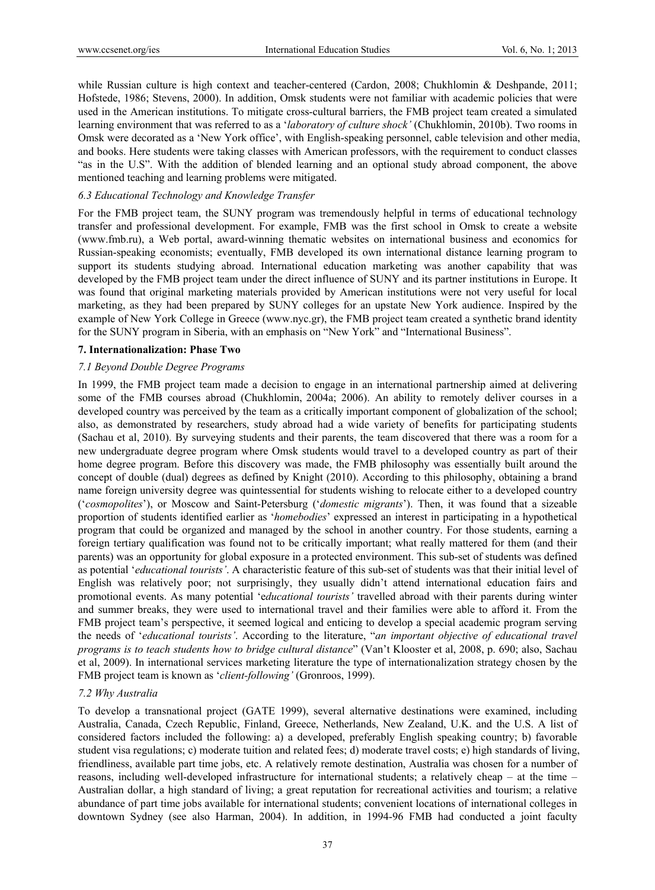while Russian culture is high context and teacher-centered (Cardon, 2008; Chukhlomin & Deshpande, 2011; Hofstede, 1986; Stevens, 2000). In addition, Omsk students were not familiar with academic policies that were used in the American institutions. To mitigate cross-cultural barriers, the FMB project team created a simulated learning environment that was referred to as a '*laboratory of culture shock'* (Chukhlomin, 2010b). Two rooms in Omsk were decorated as a 'New York office', with English-speaking personnel, cable television and other media, and books. Here students were taking classes with American professors, with the requirement to conduct classes "as in the U.S". With the addition of blended learning and an optional study abroad component, the above mentioned teaching and learning problems were mitigated.

#### *6.3 Educational Technology and Knowledge Transfer*

For the FMB project team, the SUNY program was tremendously helpful in terms of educational technology transfer and professional development. For example, FMB was the first school in Omsk to create a website (www.fmb.ru), a Web portal, award-winning thematic websites on international business and economics for Russian-speaking economists; eventually, FMB developed its own international distance learning program to support its students studying abroad. International education marketing was another capability that was developed by the FMB project team under the direct influence of SUNY and its partner institutions in Europe. It was found that original marketing materials provided by American institutions were not very useful for local marketing, as they had been prepared by SUNY colleges for an upstate New York audience. Inspired by the example of New York College in Greece (www.nyc.gr), the FMB project team created a synthetic brand identity for the SUNY program in Siberia, with an emphasis on "New York" and "International Business".

#### **7. Internationalization: Phase Two**

#### *7.1 Beyond Double Degree Programs*

In 1999, the FMB project team made a decision to engage in an international partnership aimed at delivering some of the FMB courses abroad (Chukhlomin, 2004a; 2006). An ability to remotely deliver courses in a developed country was perceived by the team as a critically important component of globalization of the school; also, as demonstrated by researchers, study abroad had a wide variety of benefits for participating students (Sachau et al, 2010). By surveying students and their parents, the team discovered that there was a room for a new undergraduate degree program where Omsk students would travel to a developed country as part of their home degree program. Before this discovery was made, the FMB philosophy was essentially built around the concept of double (dual) degrees as defined by Knight (2010). According to this philosophy, obtaining a brand name foreign university degree was quintessential for students wishing to relocate either to a developed country ('*cosmopolites*'), or Moscow and Saint-Petersburg ('*domestic migrants*'). Then, it was found that a sizeable proportion of students identified earlier as '*homebodies*' expressed an interest in participating in a hypothetical program that could be organized and managed by the school in another country. For those students, earning a foreign tertiary qualification was found not to be critically important; what really mattered for them (and their parents) was an opportunity for global exposure in a protected environment. This sub-set of students was defined as potential '*educational tourists'*. A characteristic feature of this sub-set of students was that their initial level of English was relatively poor; not surprisingly, they usually didn't attend international education fairs and promotional events. As many potential 'e*ducational tourists'* travelled abroad with their parents during winter and summer breaks, they were used to international travel and their families were able to afford it. From the FMB project team's perspective, it seemed logical and enticing to develop a special academic program serving the needs of '*educational tourists'*. According to the literature, "*an important objective of educational travel programs is to teach students how to bridge cultural distance*" (Van't Klooster et al, 2008, p. 690; also, Sachau et al, 2009). In international services marketing literature the type of internationalization strategy chosen by the FMB project team is known as '*client-following'* (Gronroos, 1999).

#### *7.2 Why Australia*

To develop a transnational project (GATE 1999), several alternative destinations were examined, including Australia, Canada, Czech Republic, Finland, Greece, Netherlands, New Zealand, U.K. and the U.S. A list of considered factors included the following: a) a developed, preferably English speaking country; b) favorable student visa regulations; c) moderate tuition and related fees; d) moderate travel costs; e) high standards of living, friendliness, available part time jobs, etc. A relatively remote destination, Australia was chosen for a number of reasons, including well-developed infrastructure for international students; a relatively cheap – at the time – Australian dollar, a high standard of living; a great reputation for recreational activities and tourism; a relative abundance of part time jobs available for international students; convenient locations of international colleges in downtown Sydney (see also Harman, 2004). In addition, in 1994-96 FMB had conducted a joint faculty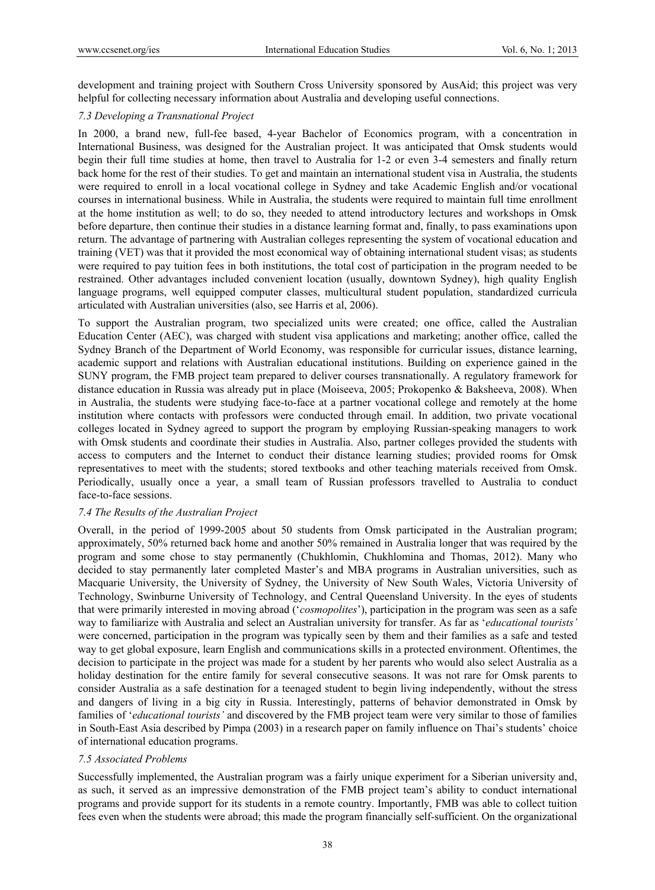development and training project with Southern Cross University sponsored by AusAid; this project was very helpful for collecting necessary information about Australia and developing useful connections.

# *7.3 Developing a Transnational Project*

In 2000, a brand new, full-fee based, 4-year Bachelor of Economics program, with a concentration in International Business, was designed for the Australian project. It was anticipated that Omsk students would begin their full time studies at home, then travel to Australia for 1-2 or even 3-4 semesters and finally return back home for the rest of their studies. To get and maintain an international student visa in Australia, the students were required to enroll in a local vocational college in Sydney and take Academic English and/or vocational courses in international business. While in Australia, the students were required to maintain full time enrollment at the home institution as well; to do so, they needed to attend introductory lectures and workshops in Omsk before departure, then continue their studies in a distance learning format and, finally, to pass examinations upon return. The advantage of partnering with Australian colleges representing the system of vocational education and training (VET) was that it provided the most economical way of obtaining international student visas; as students were required to pay tuition fees in both institutions, the total cost of participation in the program needed to be restrained. Other advantages included convenient location (usually, downtown Sydney), high quality English language programs, well equipped computer classes, multicultural student population, standardized curricula articulated with Australian universities (also, see Harris et al, 2006).

To support the Australian program, two specialized units were created; one office, called the Australian Education Center (AEC), was charged with student visa applications and marketing; another office, called the Sydney Branch of the Department of World Economy, was responsible for curricular issues, distance learning, academic support and relations with Australian educational institutions. Building on experience gained in the SUNY program, the FMB project team prepared to deliver courses transnationally. A regulatory framework for distance education in Russia was already put in place (Moiseeva, 2005; Prokopenko & Baksheeva, 2008). When in Australia, the students were studying face-to-face at a partner vocational college and remotely at the home institution where contacts with professors were conducted through email. In addition, two private vocational colleges located in Sydney agreed to support the program by employing Russian-speaking managers to work with Omsk students and coordinate their studies in Australia. Also, partner colleges provided the students with access to computers and the Internet to conduct their distance learning studies; provided rooms for Omsk representatives to meet with the students; stored textbooks and other teaching materials received from Omsk. Periodically, usually once a year, a small team of Russian professors travelled to Australia to conduct face-to-face sessions.

# *7.4 The Results of the Australian Project*

Overall, in the period of 1999-2005 about 50 students from Omsk participated in the Australian program; approximately, 50% returned back home and another 50% remained in Australia longer that was required by the program and some chose to stay permanently (Chukhlomin, Chukhlomina and Thomas, 2012). Many who decided to stay permanently later completed Master's and MBA programs in Australian universities, such as Macquarie University, the University of Sydney, the University of New South Wales, Victoria University of Technology, Swinburne University of Technology, and Central Queensland University. In the eyes of students that were primarily interested in moving abroad ('*cosmopolites*'), participation in the program was seen as a safe way to familiarize with Australia and select an Australian university for transfer. As far as '*educational tourists'* were concerned, participation in the program was typically seen by them and their families as a safe and tested way to get global exposure, learn English and communications skills in a protected environment. Oftentimes, the decision to participate in the project was made for a student by her parents who would also select Australia as a holiday destination for the entire family for several consecutive seasons. It was not rare for Omsk parents to consider Australia as a safe destination for a teenaged student to begin living independently, without the stress and dangers of living in a big city in Russia. Interestingly, patterns of behavior demonstrated in Omsk by families of '*educational tourists'* and discovered by the FMB project team were very similar to those of families in South-East Asia described by Pimpa (2003) in a research paper on family influence on Thai's students' choice of international education programs.

# *7.5 Associated Problems*

Successfully implemented, the Australian program was a fairly unique experiment for a Siberian university and, as such, it served as an impressive demonstration of the FMB project team's ability to conduct international programs and provide support for its students in a remote country. Importantly, FMB was able to collect tuition fees even when the students were abroad; this made the program financially self-sufficient. On the organizational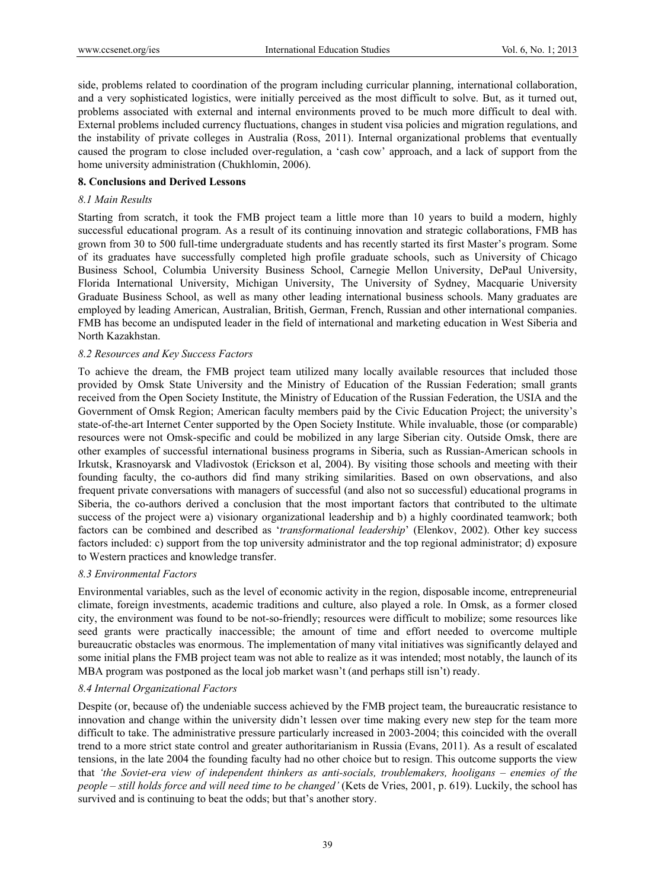side, problems related to coordination of the program including curricular planning, international collaboration, and a very sophisticated logistics, were initially perceived as the most difficult to solve. But, as it turned out, problems associated with external and internal environments proved to be much more difficult to deal with. External problems included currency fluctuations, changes in student visa policies and migration regulations, and the instability of private colleges in Australia (Ross, 2011). Internal organizational problems that eventually caused the program to close included over-regulation, a 'cash cow' approach, and a lack of support from the home university administration (Chukhlomin, 2006).

# **8. Conclusions and Derived Lessons**

#### *8.1 Main Results*

Starting from scratch, it took the FMB project team a little more than 10 years to build a modern, highly successful educational program. As a result of its continuing innovation and strategic collaborations, FMB has grown from 30 to 500 full-time undergraduate students and has recently started its first Master's program. Some of its graduates have successfully completed high profile graduate schools, such as University of Chicago Business School, Columbia University Business School, Carnegie Mellon University, DePaul University, Florida International University, Michigan University, The University of Sydney, Macquarie University Graduate Business School, as well as many other leading international business schools. Many graduates are employed by leading American, Australian, British, German, French, Russian and other international companies. FMB has become an undisputed leader in the field of international and marketing education in West Siberia and North Kazakhstan.

# *8.2 Resources and Key Success Factors*

To achieve the dream, the FMB project team utilized many locally available resources that included those provided by Omsk State University and the Ministry of Education of the Russian Federation; small grants received from the Open Society Institute, the Ministry of Education of the Russian Federation, the USIA and the Government of Omsk Region; American faculty members paid by the Civic Education Project; the university's state-of-the-art Internet Center supported by the Open Society Institute. While invaluable, those (or comparable) resources were not Omsk-specific and could be mobilized in any large Siberian city. Outside Omsk, there are other examples of successful international business programs in Siberia, such as Russian-American schools in Irkutsk, Krasnoyarsk and Vladivostok (Erickson et al, 2004). By visiting those schools and meeting with their founding faculty, the co-authors did find many striking similarities. Based on own observations, and also frequent private conversations with managers of successful (and also not so successful) educational programs in Siberia, the co-authors derived a conclusion that the most important factors that contributed to the ultimate success of the project were a) visionary organizational leadership and b) a highly coordinated teamwork; both factors can be combined and described as '*transformational leadership*' (Elenkov, 2002). Other key success factors included: c) support from the top university administrator and the top regional administrator; d) exposure to Western practices and knowledge transfer.

# *8.3 Environmental Factors*

Environmental variables, such as the level of economic activity in the region, disposable income, entrepreneurial climate, foreign investments, academic traditions and culture, also played a role. In Omsk, as a former closed city, the environment was found to be not-so-friendly; resources were difficult to mobilize; some resources like seed grants were practically inaccessible; the amount of time and effort needed to overcome multiple bureaucratic obstacles was enormous. The implementation of many vital initiatives was significantly delayed and some initial plans the FMB project team was not able to realize as it was intended; most notably, the launch of its MBA program was postponed as the local job market wasn't (and perhaps still isn't) ready.

# *8.4 Internal Organizational Factors*

Despite (or, because of) the undeniable success achieved by the FMB project team, the bureaucratic resistance to innovation and change within the university didn't lessen over time making every new step for the team more difficult to take. The administrative pressure particularly increased in 2003-2004; this coincided with the overall trend to a more strict state control and greater authoritarianism in Russia (Evans, 2011). As a result of escalated tensions, in the late 2004 the founding faculty had no other choice but to resign. This outcome supports the view that *'the Soviet-era view of independent thinkers as anti-socials, troublemakers, hooligans – enemies of the people – still holds force and will need time to be changed'* (Kets de Vries, 2001, p. 619). Luckily, the school has survived and is continuing to beat the odds; but that's another story.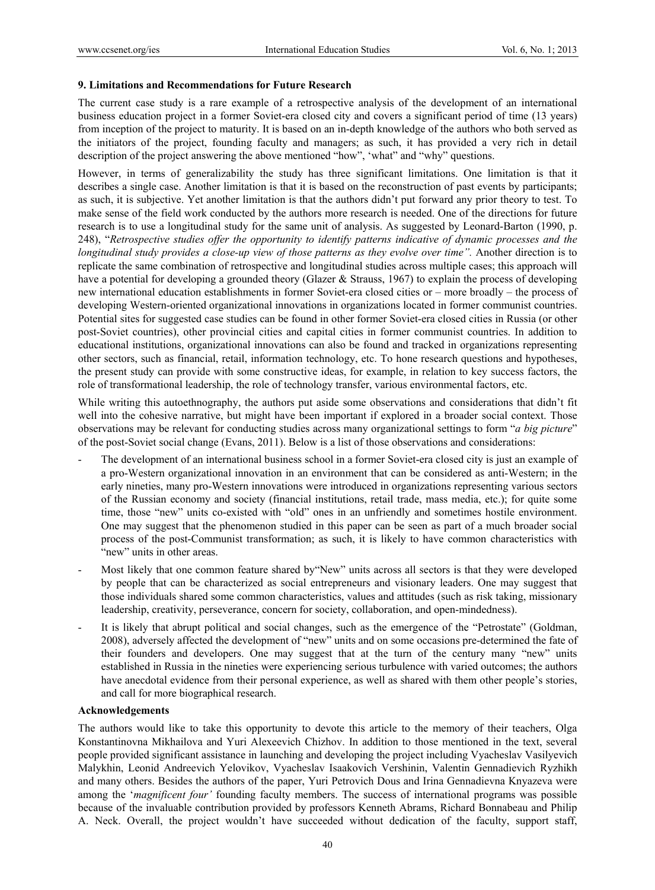# **9. Limitations and Recommendations for Future Research**

The current case study is a rare example of a retrospective analysis of the development of an international business education project in a former Soviet-era closed city and covers a significant period of time (13 years) from inception of the project to maturity. It is based on an in-depth knowledge of the authors who both served as the initiators of the project, founding faculty and managers; as such, it has provided a very rich in detail description of the project answering the above mentioned "how", 'what" and "why" questions.

However, in terms of generalizability the study has three significant limitations. One limitation is that it describes a single case. Another limitation is that it is based on the reconstruction of past events by participants; as such, it is subjective. Yet another limitation is that the authors didn't put forward any prior theory to test. To make sense of the field work conducted by the authors more research is needed. One of the directions for future research is to use a longitudinal study for the same unit of analysis. As suggested by Leonard-Barton (1990, p. 248), "*Retrospective studies offer the opportunity to identify patterns indicative of dynamic processes and the longitudinal study provides a close-up view of those patterns as they evolve over time".* Another direction is to replicate the same combination of retrospective and longitudinal studies across multiple cases; this approach will have a potential for developing a grounded theory (Glazer & Strauss, 1967) to explain the process of developing new international education establishments in former Soviet-era closed cities or – more broadly – the process of developing Western-oriented organizational innovations in organizations located in former communist countries. Potential sites for suggested case studies can be found in other former Soviet-era closed cities in Russia (or other post-Soviet countries), other provincial cities and capital cities in former communist countries. In addition to educational institutions, organizational innovations can also be found and tracked in organizations representing other sectors, such as financial, retail, information technology, etc. To hone research questions and hypotheses, the present study can provide with some constructive ideas, for example, in relation to key success factors, the role of transformational leadership, the role of technology transfer, various environmental factors, etc.

While writing this autoethnography, the authors put aside some observations and considerations that didn't fit well into the cohesive narrative, but might have been important if explored in a broader social context. Those observations may be relevant for conducting studies across many organizational settings to form "*a big picture*" of the post-Soviet social change (Evans, 2011). Below is a list of those observations and considerations:

- The development of an international business school in a former Soviet-era closed city is just an example of a pro-Western organizational innovation in an environment that can be considered as anti-Western; in the early nineties, many pro-Western innovations were introduced in organizations representing various sectors of the Russian economy and society (financial institutions, retail trade, mass media, etc.); for quite some time, those "new" units co-existed with "old" ones in an unfriendly and sometimes hostile environment. One may suggest that the phenomenon studied in this paper can be seen as part of a much broader social process of the post-Communist transformation; as such, it is likely to have common characteristics with "new" units in other areas.
- Most likely that one common feature shared by "New" units across all sectors is that they were developed by people that can be characterized as social entrepreneurs and visionary leaders. One may suggest that those individuals shared some common characteristics, values and attitudes (such as risk taking, missionary leadership, creativity, perseverance, concern for society, collaboration, and open-mindedness).
- It is likely that abrupt political and social changes, such as the emergence of the "Petrostate" (Goldman, 2008), adversely affected the development of "new" units and on some occasions pre-determined the fate of their founders and developers. One may suggest that at the turn of the century many "new" units established in Russia in the nineties were experiencing serious turbulence with varied outcomes; the authors have anecdotal evidence from their personal experience, as well as shared with them other people's stories, and call for more biographical research.

# **Acknowledgements**

The authors would like to take this opportunity to devote this article to the memory of their teachers, Olga Konstantinovna Mikhailova and Yuri Alexeevich Chizhov. In addition to those mentioned in the text, several people provided significant assistance in launching and developing the project including Vyacheslav Vasilyevich Malykhin, Leonid Andreevich Yelovikov, Vyacheslav Isaakovich Vershinin, Valentin Gennadievich Ryzhikh and many others. Besides the authors of the paper, Yuri Petrovich Dous and Irina Gennadievna Knyazeva were among the '*magnificent four'* founding faculty members. The success of international programs was possible because of the invaluable contribution provided by professors Kenneth Abrams, Richard Bonnabeau and Philip A. Neck. Overall, the project wouldn't have succeeded without dedication of the faculty, support staff,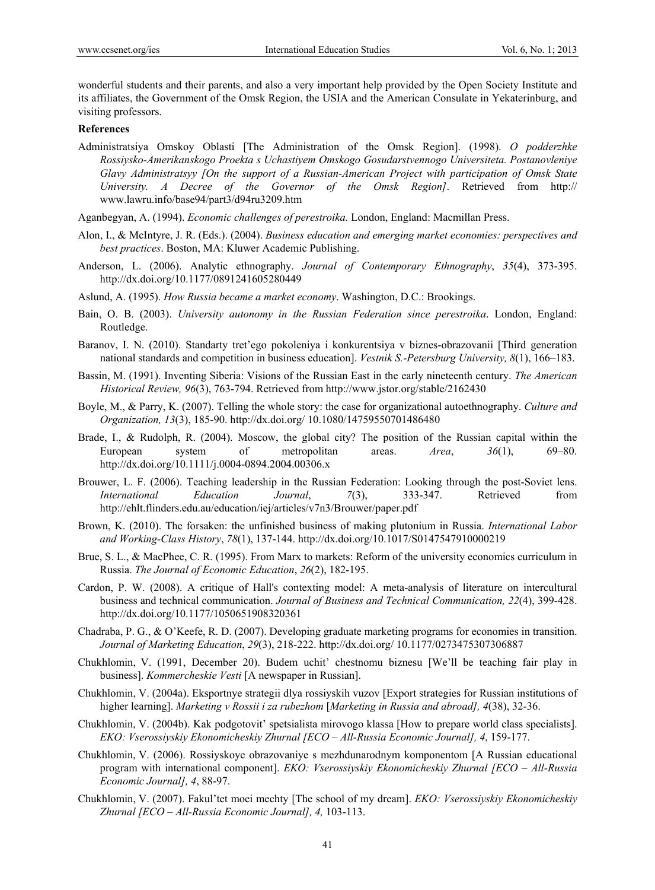wonderful students and their parents, and also a very important help provided by the Open Society Institute and its affiliates, the Government of the Omsk Region, the USIA and the American Consulate in Yekaterinburg, and visiting professors.

#### **References**

Administratsiya Omskoy Oblasti [The Administration of the Omsk Region]. (1998). *O podderzhke Rossiysko-Amerikanskogo Proekta s Uchastiyem Omskogo Gosudarstvennogo Universiteta. Postanovleniye Glavy Administratsyy [On the support of a Russian-American Project with participation of Omsk State University. A Decree of the Governor of the Omsk Region]*. Retrieved from http:// www.lawru.info/base94/part3/d94ru3209.htm

Aganbegyan, A. (1994). *Economic challenges of perestroika.* London, England: Macmillan Press.

- Alon, I., & McIntyre, J. R. (Eds.). (2004). *Business education and emerging market economies: perspectives and best practices*. Boston, MA: Kluwer Academic Publishing.
- Anderson, L. (2006). Analytic ethnography. *Journal of Contemporary Ethnography*, *35*(4), 373-395. http://dx.doi.org/10.1177/0891241605280449
- Aslund, A. (1995). *How Russia became a market economy*. Washington, D.C.: Brookings.
- Bain, O. B. (2003). *University autonomy in the Russian Federation since perestroika*. London, England: Routledge.
- Baranov, I. N. (2010). Standarty tret'ego pokoleniya i konkurentsiya v biznes-obrazovanii [Third generation national standards and competition in business education]. *Vestnik S.-Petersburg University, 8*(1), 166–183.
- Bassin, M. (1991). Inventing Siberia: Visions of the Russian East in the early nineteenth century. *The American Historical Review, 96*(3), 763-794. Retrieved from http://www.jstor.org/stable/2162430
- Boyle, M., & Parry, K. (2007). Telling the whole story: the case for organizational autoethnography. *Culture and Organization, 13*(3), 185-90. http://dx.doi.org/ 10.1080/14759550701486480
- Brade, I., & Rudolph, R. (2004). Moscow, the global city? The position of the Russian capital within the European system of metropolitan areas. *Area*, *36*(1), 69–80. http://dx.doi.org/10.1111/j.0004-0894.2004.00306.x
- Brouwer, L. F. (2006). Teaching leadership in the Russian Federation: Looking through the post-Soviet lens. *International Education Journal*, *7*(3), 333-347. Retrieved from http://ehlt.flinders.edu.au/education/iej/articles/v7n3/Brouwer/paper.pdf
- Brown, K. (2010). The forsaken: the unfinished business of making plutonium in Russia. *International Labor and Working-Class History*, *78*(1), 137-144. http://dx.doi.org/10.1017/S0147547910000219
- Brue, S. L., & MacPhee, C. R. (1995). From Marx to markets: Reform of the university economics curriculum in Russia. *The Journal of Economic Education*, *26*(2), 182-195.
- Cardon, P. W. (2008). A critique of Hall's contexting model: A meta-analysis of literature on intercultural business and technical communication. *Journal of Business and Technical Communication, 22*(4), 399-428. http://dx.doi.org/10.1177/1050651908320361
- Chadraba, P. G., & O'Keefe, R. D. (2007). Developing graduate marketing programs for economies in transition. *Journal of Marketing Education*, *29*(3), 218-222. http://dx.doi.org/ 10.1177/0273475307306887
- Chukhlomin, V. (1991, December 20). Budem uchit' chestnomu biznesu [We'll be teaching fair play in business]. *Kommercheskie Vesti* [A newspaper in Russian].
- Chukhlomin, V. (2004a). Eksportnye strategii dlya rossiyskih vuzov [Export strategies for Russian institutions of higher learning]. *Marketing v Rossii i za rubezhom* [*Marketing in Russia and abroad], 4*(38), 32-36.
- Chukhlomin, V. (2004b). Kak podgotovit' spetsialista mirovogo klassa [How to prepare world class specialists]. *EKO: Vserossiyskiy Ekonomicheskiy Zhurnal [ECO – All-Russia Economic Journal], 4*, 159-177.
- Chukhlomin, V. (2006). Rossiyskoye obrazovaniye s mezhdunarodnym komponentom [A Russian educational program with international component]. *EKO: Vserossiyskiy Ekonomicheskiy Zhurnal [ECO – All-Russia Economic Journal], 4*, 88-97.
- Chukhlomin, V. (2007). Fakul'tet moei mechty [The school of my dream]. *EKO: Vserossiyskiy Ekonomicheskiy Zhurnal [ECO – All-Russia Economic Journal], 4,* 103-113.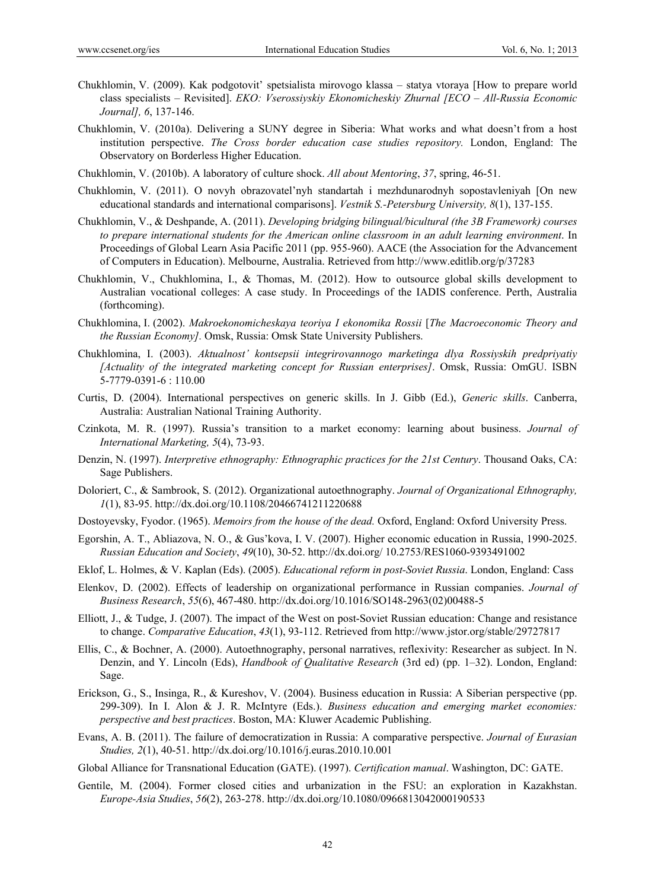- Chukhlomin, V. (2009). Kak podgotovit' spetsialista mirovogo klassa statya vtoraya [How to prepare world class specialists – Revisited]. *EKO: Vserossiyskiy Ekonomicheskiy Zhurnal [ECO – All-Russia Economic Journal], 6*, 137-146.
- Chukhlomin, V. (2010a). Delivering a SUNY degree in Siberia: What works and what doesn't from a host institution perspective. *The Cross border education case studies repository.* London, England: The Observatory on Borderless Higher Education.
- Chukhlomin, V. (2010b). A laboratory of culture shock. *All about Mentoring*, *37*, spring, 46-51.
- Chukhlomin, V. (2011). O novyh obrazovatel'nyh standartah i mezhdunarodnyh sopostavleniyah [On new educational standards and international comparisons]. *Vestnik S.-Petersburg University, 8*(1), 137-155.
- Chukhlomin, V., & Deshpande, A. (2011). *Developing bridging bilingual/bicultural (the 3B Framework) courses to prepare international students for the American online classroom in an adult learning environment*. In Proceedings of Global Learn Asia Pacific 2011 (pp. 955-960). AACE (the Association for the Advancement of Computers in Education). Melbourne, Australia. Retrieved from http://www.editlib.org/p/37283
- Chukhlomin, V., Chukhlomina, I., & Thomas, M. (2012). How to outsource global skills development to Australian vocational colleges: A case study. In Proceedings of the IADIS conference. Perth, Australia (forthcoming).
- Chukhlomina, I. (2002). *Makroekonomicheskaya teoriya I ekonomika Rossii* [*The Macroeconomic Theory and the Russian Economy].* Omsk, Russia: Omsk State University Publishers.
- Chukhlomina, I. (2003). *Aktualnost' kontsepsii integrirovannogo marketinga dlya Rossiyskih predpriyatiy [Actuality of the integrated marketing concept for Russian enterprises]*. Omsk, Russia: OmGU. ISBN 5-7779-0391-6 : 110.00
- Curtis, D. (2004). International perspectives on generic skills. In J. Gibb (Ed.), *Generic skills*. Canberra, Australia: Australian National Training Authority.
- Czinkota, M. R. (1997). Russia's transition to a market economy: learning about business. *Journal of International Marketing, 5*(4), 73-93.
- Denzin, N. (1997). *Interpretive ethnography: Ethnographic practices for the 21st Century*. Thousand Oaks, CA: Sage Publishers.
- Doloriert, C., & Sambrook, S. (2012). Organizational autoethnography. *Journal of Organizational Ethnography, 1*(1), 83-95. http://dx.doi.org/10.1108/20466741211220688
- Dostoyevsky, Fyodor. (1965). *Memoirs from the house of the dead.* Oxford, England: Oxford University Press.
- Egorshin, A. T., Abliazova, N. O., & Gus'kova, I. V. (2007). Higher economic education in Russia, 1990-2025. *Russian Education and Society*, *49*(10), 30-52. http://dx.doi.org/ 10.2753/RES1060-9393491002
- Eklof, L. Holmes, & V. Kaplan (Eds). (2005). *Educational reform in post-Soviet Russia*. London, England: Cass
- Elenkov, D. (2002). Effects of leadership on organizational performance in Russian companies. *Journal of Business Research*, *55*(6), 467-480. http://dx.doi.org/10.1016/SO148-2963(02)00488-5
- Elliott, J., & Tudge, J. (2007). The impact of the West on post-Soviet Russian education: Change and resistance to change. *Comparative Education*, *43*(1), 93-112. Retrieved from http://www.jstor.org/stable/29727817
- Ellis, C., & Bochner, A. (2000). Autoethnography, personal narratives, reflexivity: Researcher as subject. In N. Denzin, and Y. Lincoln (Eds), *Handbook of Qualitative Research* (3rd ed) (pp. 1–32). London, England: Sage.
- Erickson, G., S., Insinga, R., & Kureshov, V. (2004). Business education in Russia: A Siberian perspective (pp. 299-309). In I. Alon & J. R. McIntyre (Eds.). *Business education and emerging market economies: perspective and best practices*. Boston, MA: Kluwer Academic Publishing.
- Evans, A. B. (2011). The failure of democratization in Russia: A comparative perspective. *Journal of Eurasian Studies, 2*(1), 40-51. http://dx.doi.org/10.1016/j.euras.2010.10.001
- Global Alliance for Transnational Education (GATE). (1997). *Certification manual*. Washington, DC: GATE.
- Gentile, M. (2004). Former closed cities and urbanization in the FSU: an exploration in Kazakhstan. *Europe-Asia Studies*, *56*(2), 263-278. http://dx.doi.org/10.1080/0966813042000190533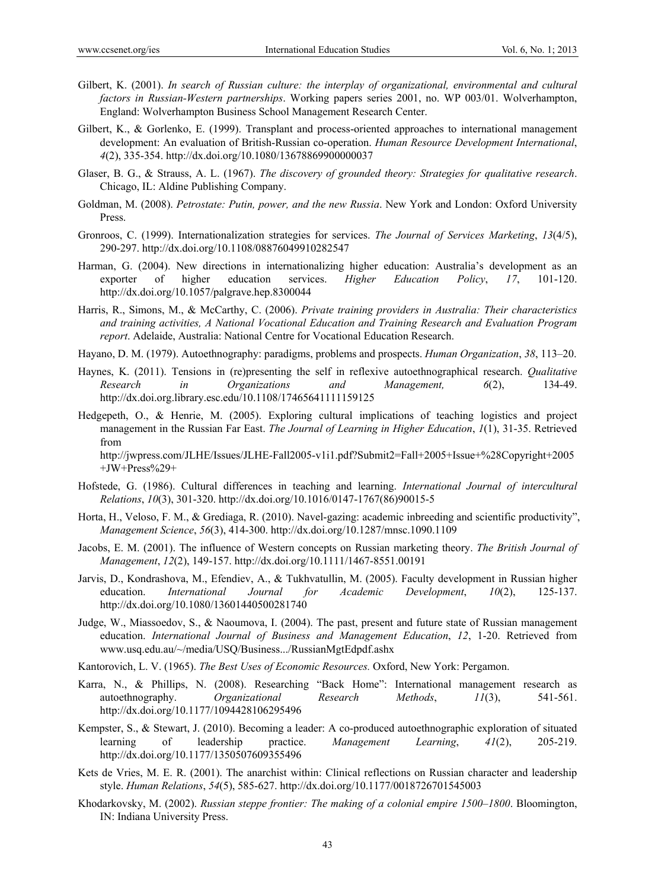- Gilbert, K. (2001). *In search of Russian culture: the interplay of organizational, environmental and cultural factors in Russian-Western partnerships*. Working papers series 2001, no. WP 003/01. Wolverhampton, England: Wolverhampton Business School Management Research Center.
- Gilbert, K., & Gorlenko, E. (1999). Transplant and process-oriented approaches to international management development: An evaluation of British-Russian co-operation. *Human Resource Development International*, *4*(2), 335-354. http://dx.doi.org/10.1080/13678869900000037
- Glaser, B. G., & Strauss, A. L. (1967). *The discovery of grounded theory: Strategies for qualitative research*. Chicago, IL: Aldine Publishing Company.
- Goldman, M. (2008). *Petrostate: Putin, power, and the new Russia*. New York and London: Oxford University Press.
- Gronroos, C. (1999). Internationalization strategies for services. *The Journal of Services Marketing*, *13*(4/5), 290-297. http://dx.doi.org/10.1108/08876049910282547
- Harman, G. (2004). New directions in internationalizing higher education: Australia's development as an exporter of higher education services. *Higher Education Policy*, *17*, 101-120. http://dx.doi.org/10.1057/palgrave.hep.8300044
- Harris, R., Simons, M., & McCarthy, C. (2006). *Private training providers in Australia: Their characteristics and training activities, A National Vocational Education and Training Research and Evaluation Program report*. Adelaide, Australia: National Centre for Vocational Education Research.
- Hayano, D. M. (1979). Autoethnography: paradigms, problems and prospects. *Human Organization*, *38*, 113–20.
- Haynes, K. (2011). Tensions in (re)presenting the self in reflexive autoethnographical research. *Qualitative Research in Organizations and Management, 6*(2), 134-49. http://dx.doi.org.library.esc.edu/10.1108/17465641111159125
- Hedgepeth, O., & Henrie, M. (2005). Exploring cultural implications of teaching logistics and project management in the Russian Far East. *The Journal of Learning in Higher Education*, *1*(1), 31-35. Retrieved from

http://jwpress.com/JLHE/Issues/JLHE-Fall2005-v1i1.pdf?Submit2=Fall+2005+Issue+%28Copyright+2005  $+JW+Press\%29+$ 

- Hofstede, G. (1986). Cultural differences in teaching and learning. *International Journal of intercultural Relations*, *10*(3), 301-320. http://dx.doi.org/10.1016/0147-1767(86)90015-5
- Horta, H., Veloso, F. M., & Grediaga, R. (2010). Navel-gazing: academic inbreeding and scientific productivity", *Management Science*, *56*(3), 414-300. http://dx.doi.org/10.1287/mnsc.1090.1109
- Jacobs, E. M. (2001). The influence of Western concepts on Russian marketing theory. *The British Journal of Management*, *12*(2), 149-157. http://dx.doi.org/10.1111/1467-8551.00191
- Jarvis, D., Kondrashova, M., Efendiev, A., & Tukhvatullin, M. (2005). Faculty development in Russian higher education. *International Journal for Academic Development*, *10*(2), 125-137. http://dx.doi.org/10.1080/13601440500281740
- Judge, W., Miassoedov, S., & Naoumova, I. (2004). The past, present and future state of Russian management education. *International Journal of Business and Management Education*, *12*, 1-20. Retrieved from www.usq.edu.au/~/media/USQ/Business.../RussianMgtEdpdf.ashx
- Kantorovich, L. V. (1965). *The Best Uses of Economic Resources.* Oxford, New York: Pergamon.
- Karra, N., & Phillips, N. (2008). Researching "Back Home": International management research as autoethnography. *Organizational Research Methods*, *11*(3), 541-561. http://dx.doi.org/10.1177/1094428106295496
- Kempster, S., & Stewart, J. (2010). Becoming a leader: A co-produced autoethnographic exploration of situated learning of leadership practice. *Management Learning*, *41*(2), 205-219. http://dx.doi.org/10.1177/1350507609355496
- Kets de Vries, M. E. R. (2001). The anarchist within: Clinical reflections on Russian character and leadership style. *Human Relations*, *54*(5), 585-627. http://dx.doi.org/10.1177/0018726701545003
- Khodarkovsky, M. (2002). *Russian steppe frontier: The making of a colonial empire 1500–1800*. Bloomington, IN: Indiana University Press.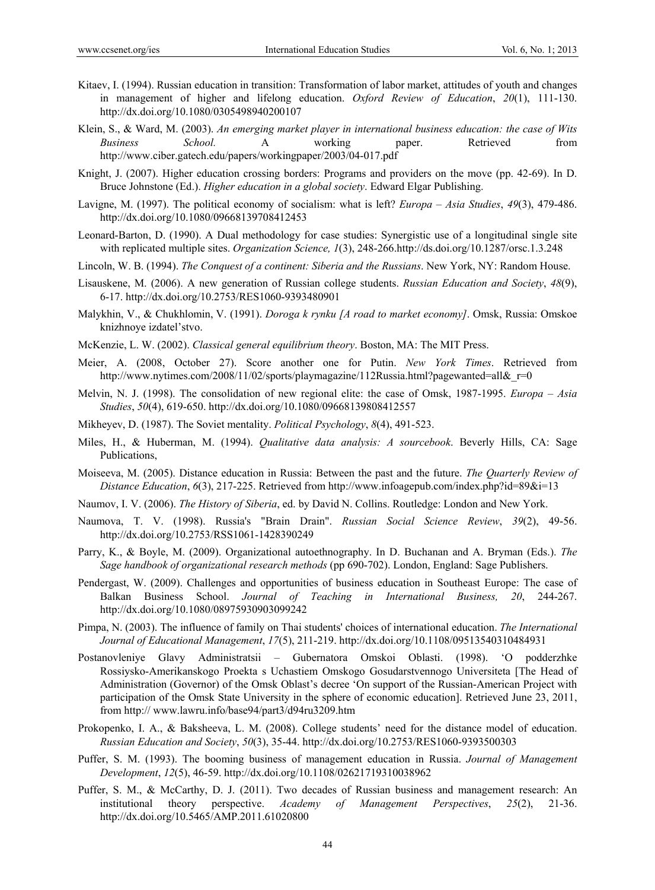- Kitaev, I. (1994). Russian education in transition: Transformation of labor market, attitudes of youth and changes in management of higher and lifelong education. *Oxford Review of Education*, *20*(1), 111-130. http://dx.doi.org/10.1080/0305498940200107
- Klein, S., & Ward, M. (2003). *An emerging market player in international business education: the case of Wits Business School.* A working paper. Retrieved from http://www.ciber.gatech.edu/papers/workingpaper/2003/04-017.pdf
- Knight, J. (2007). Higher education crossing borders: Programs and providers on the move (pp. 42-69). In D. Bruce Johnstone (Ed.). *Higher education in a global society*. Edward Elgar Publishing.
- Lavigne, M. (1997). The political economy of socialism: what is left? *Europa Asia Studies*, *49*(3), 479-486. http://dx.doi.org/10.1080/09668139708412453
- Leonard-Barton, D. (1990). A Dual methodology for case studies: Synergistic use of a longitudinal single site with replicated multiple sites. *Organization Science, 1*(3), 248-266.http://ds.doi.org/10.1287/orsc.1.3.248
- Lincoln, W. B. (1994). *The Conquest of a continent: Siberia and the Russians*. New York, NY: Random House.
- Lisauskene, M. (2006). A new generation of Russian college students. *Russian Education and Society*, *48*(9), 6-17. http://dx.doi.org/10.2753/RES1060-9393480901
- Malykhin, V., & Chukhlomin, V. (1991). *Doroga k rynku [A road to market economy]*. Omsk, Russia: Omskoe knizhnoye izdatel'stvo.
- McKenzie, L. W. (2002). *Classical general equilibrium theory*. Boston, MA: The MIT Press.
- Meier, A. (2008, October 27). Score another one for Putin. *New York Times*. Retrieved from http://www.nytimes.com/2008/11/02/sports/playmagazine/112Russia.html?pagewanted=all& $r=0$
- Melvin, N. J. (1998). The consolidation of new regional elite: the case of Omsk, 1987-1995. *Europa Asia Studies*, *50*(4), 619-650. http://dx.doi.org/10.1080/09668139808412557
- Mikheyev, D. (1987). The Soviet mentality. *Political Psychology*, *8*(4), 491-523.
- Miles, H., & Huberman, M. (1994). *Qualitative data analysis: A sourcebook*. Beverly Hills, CA: Sage Publications,
- Moiseeva, M. (2005). Distance education in Russia: Between the past and the future. *The Quarterly Review of Distance Education*, *6*(3), 217-225. Retrieved from http://www.infoagepub.com/index.php?id=89&i=13
- Naumov, I. V. (2006). *The History of Siberia*, ed. by David N. Collins. Routledge: London and New York.
- Naumova, T. V. (1998). Russia's "Brain Drain". *Russian Social Science Review*, *39*(2), 49-56. http://dx.doi.org/10.2753/RSS1061-1428390249
- Parry, K., & Boyle, M. (2009). Organizational autoethnography. In D. Buchanan and A. Bryman (Eds.). *The Sage handbook of organizational research methods* (pp 690-702). London, England: Sage Publishers.
- Pendergast, W. (2009). Challenges and opportunities of business education in Southeast Europe: The case of Balkan Business School. *Journal of Teaching in International Business, 20*, 244-267. http://dx.doi.org/10.1080/08975930903099242
- Pimpa, N. (2003). The influence of family on Thai students' choices of international education. *The International Journal of Educational Management*, *17*(5), 211-219. http://dx.doi.org/10.1108/09513540310484931
- Postanovleniye Glavy Administratsii Gubernatora Omskoi Oblasti. (1998). 'O podderzhke Rossiysko-Amerikanskogo Proekta s Uchastiem Omskogo Gosudarstvennogo Universiteta [The Head of Administration (Governor) of the Omsk Oblast's decree 'On support of the Russian-American Project with participation of the Omsk State University in the sphere of economic education]. Retrieved June 23, 2011, from http:// www.lawru.info/base94/part3/d94ru3209.htm
- Prokopenko, I. A., & Baksheeva, L. M. (2008). College students' need for the distance model of education. *Russian Education and Society*, *50*(3), 35-44. http://dx.doi.org/10.2753/RES1060-9393500303
- Puffer, S. M. (1993). The booming business of management education in Russia. *Journal of Management Development*, *12*(5), 46-59. http://dx.doi.org/10.1108/02621719310038962
- Puffer, S. M., & McCarthy, D. J. (2011). Two decades of Russian business and management research: An institutional theory perspective. *Academy of Management Perspectives*, *25*(2), 21-36. http://dx.doi.org/10.5465/AMP.2011.61020800